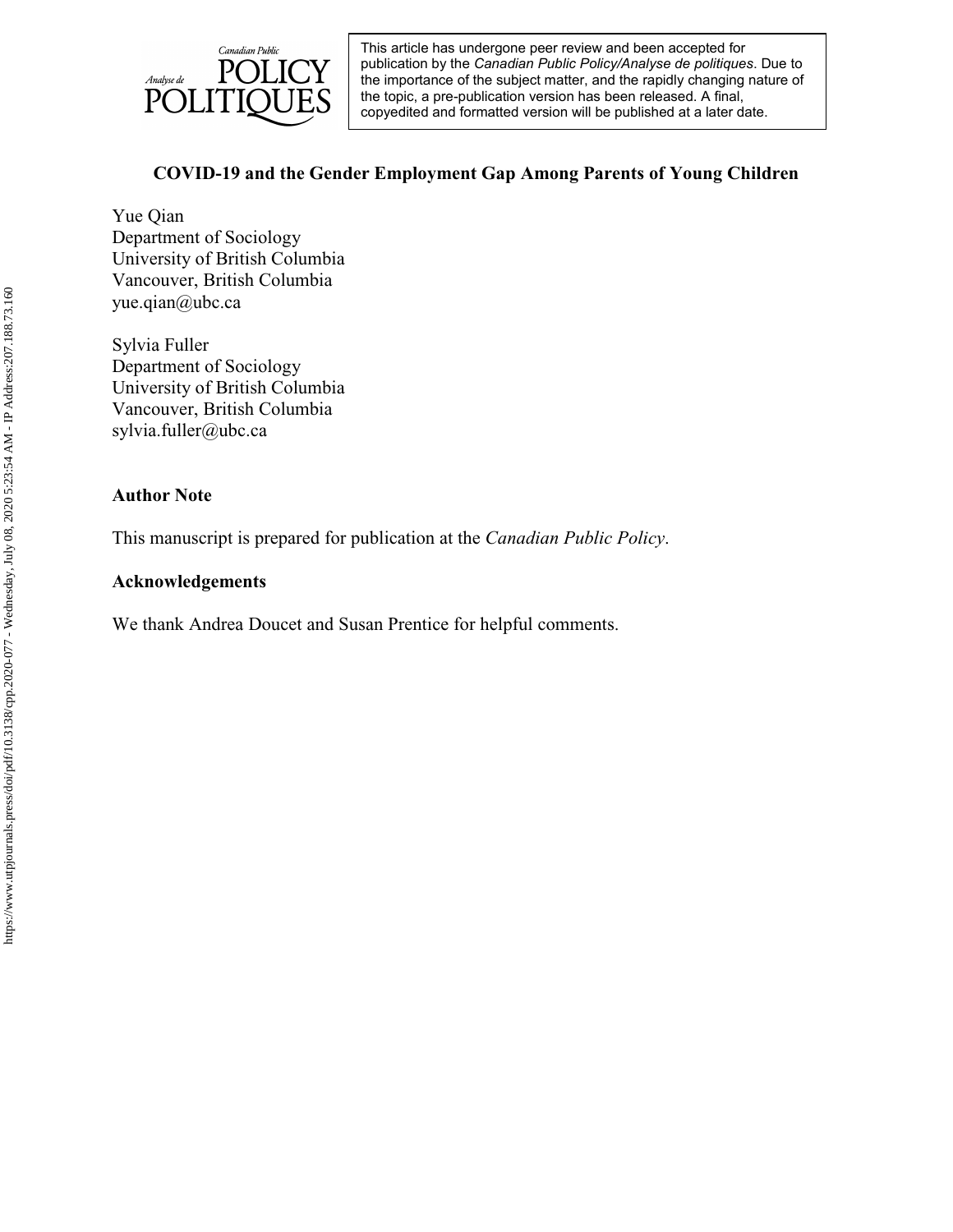

# **COVID-19 and the Gender Employment Gap Among Parents of Young Children**

Yue Qian Department of Sociology University of British Columbia Vancouver, British Columbia yue.qian@ubc.ca

Sylvia Fuller Department of Sociology University of British Columbia Vancouver, British Columbia sylvia.fuller@ubc.ca

# **Author Note**

This manuscript is prepared for publication at the *Canadian Public Policy*.

# **Acknowledgements**

We thank Andrea Doucet and Susan Prentice for helpful comments.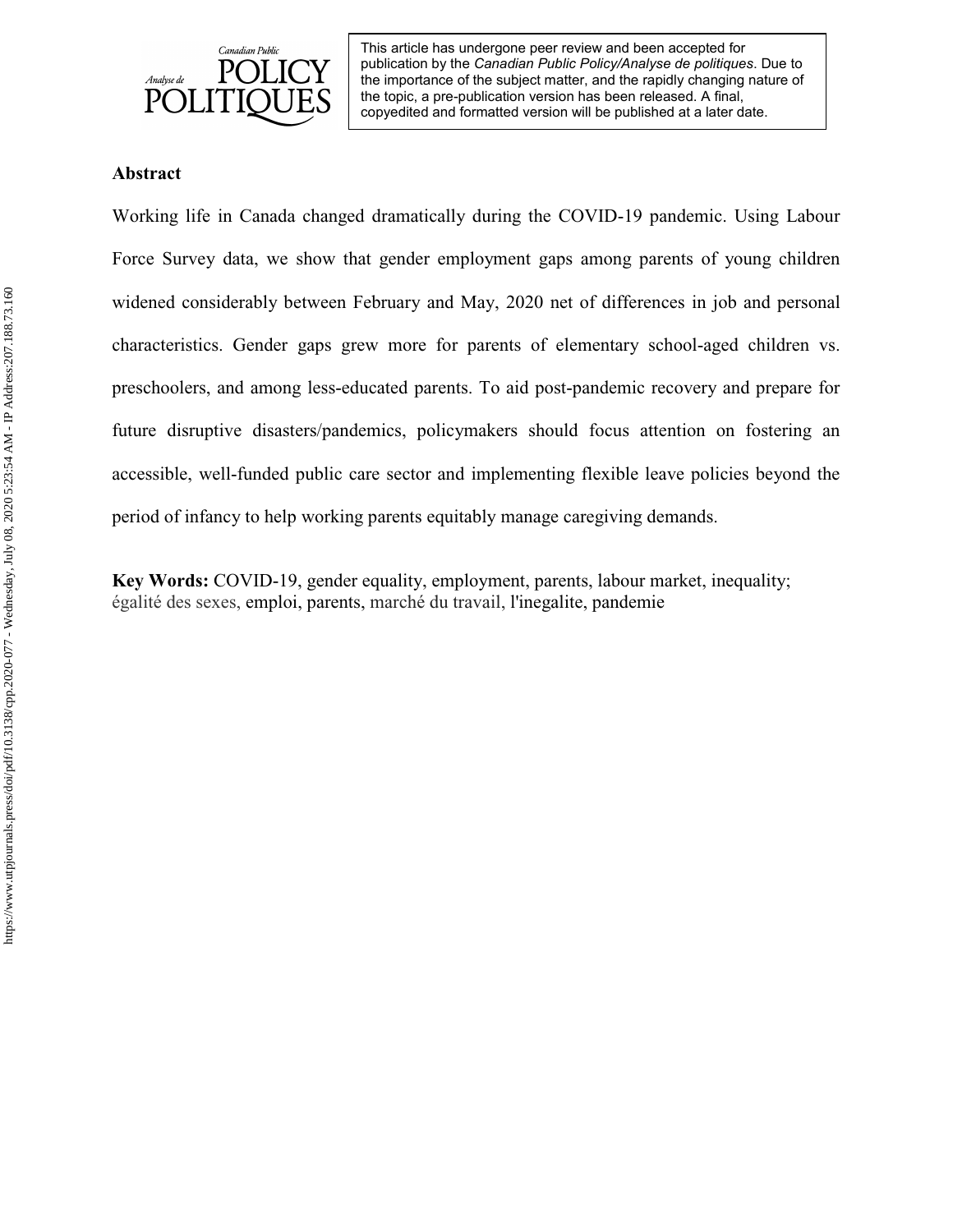

## **Abstract**

Working life in Canada changed dramatically during the COVID-19 pandemic. Using Labour Force Survey data, we show that gender employment gaps among parents of young children widened considerably between February and May, 2020 net of differences in job and personal characteristics. Gender gaps grew more for parents of elementary school-aged children vs. preschoolers, and among less-educated parents. To aid post-pandemic recovery and prepare for future disruptive disasters/pandemics, policymakers should focus attention on fostering an accessible, well-funded public care sector and implementing flexible leave policies beyond the period of infancy to help working parents equitably manage caregiving demands.

**Key Words:** COVID-19, gender equality, employment, parents, labour market, inequality; [égalité des sexes,](https://www.linguee.com/french-english/translation/%C3%A9galit%C3%A9+des+sexes.html) emploi, parents, marché du travail, l'inegalite, pandemie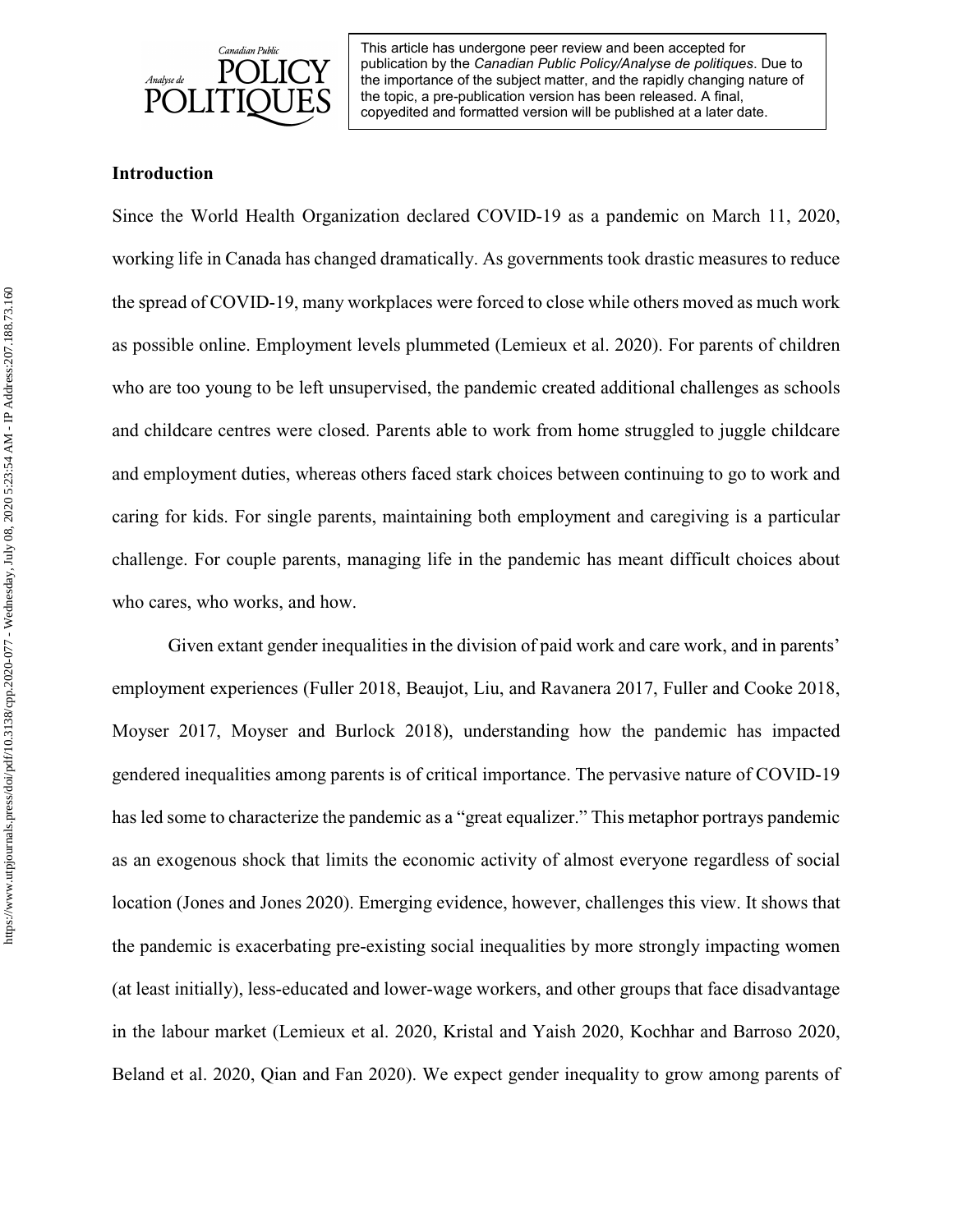

## **Introduction**

Since the World Health Organization declared COVID-19 as a pandemic on March 11, 2020, working life in Canada has changed dramatically. As governments took drastic measures to reduce the spread of COVID-19, many workplaces were forced to close while others moved as much work as possible online. Employment levels plummeted (Lemieux et al. 2020). For parents of children who are too young to be left unsupervised, the pandemic created additional challenges as schools and childcare centres were closed. Parents able to work from home struggled to juggle childcare and employment duties, whereas others faced stark choices between continuing to go to work and caring for kids. For single parents, maintaining both employment and caregiving is a particular challenge. For couple parents, managing life in the pandemic has meant difficult choices about who cares, who works, and how.

Given extant gender inequalities in the division of paid work and care work, and in parents' employment experiences (Fuller 2018, Beaujot, Liu, and Ravanera 2017, Fuller and Cooke 2018, Moyser 2017, Moyser and Burlock 2018), understanding how the pandemic has impacted gendered inequalities among parents is of critical importance. The pervasive nature of COVID-19 has led some to characterize the pandemic as a "great equalizer." This metaphor portrays pandemic as an exogenous shock that limits the economic activity of almost everyone regardless of social location (Jones and Jones 2020). Emerging evidence, however, challenges this view. It shows that the pandemic is exacerbating pre-existing social inequalities by more strongly impacting women (at least initially), less-educated and lower-wage workers, and other groups that face disadvantage in the labour market (Lemieux et al. 2020, Kristal and Yaish 2020, Kochhar and Barroso 2020, Beland et al. 2020, Qian and Fan 2020). We expect gender inequality to grow among parents of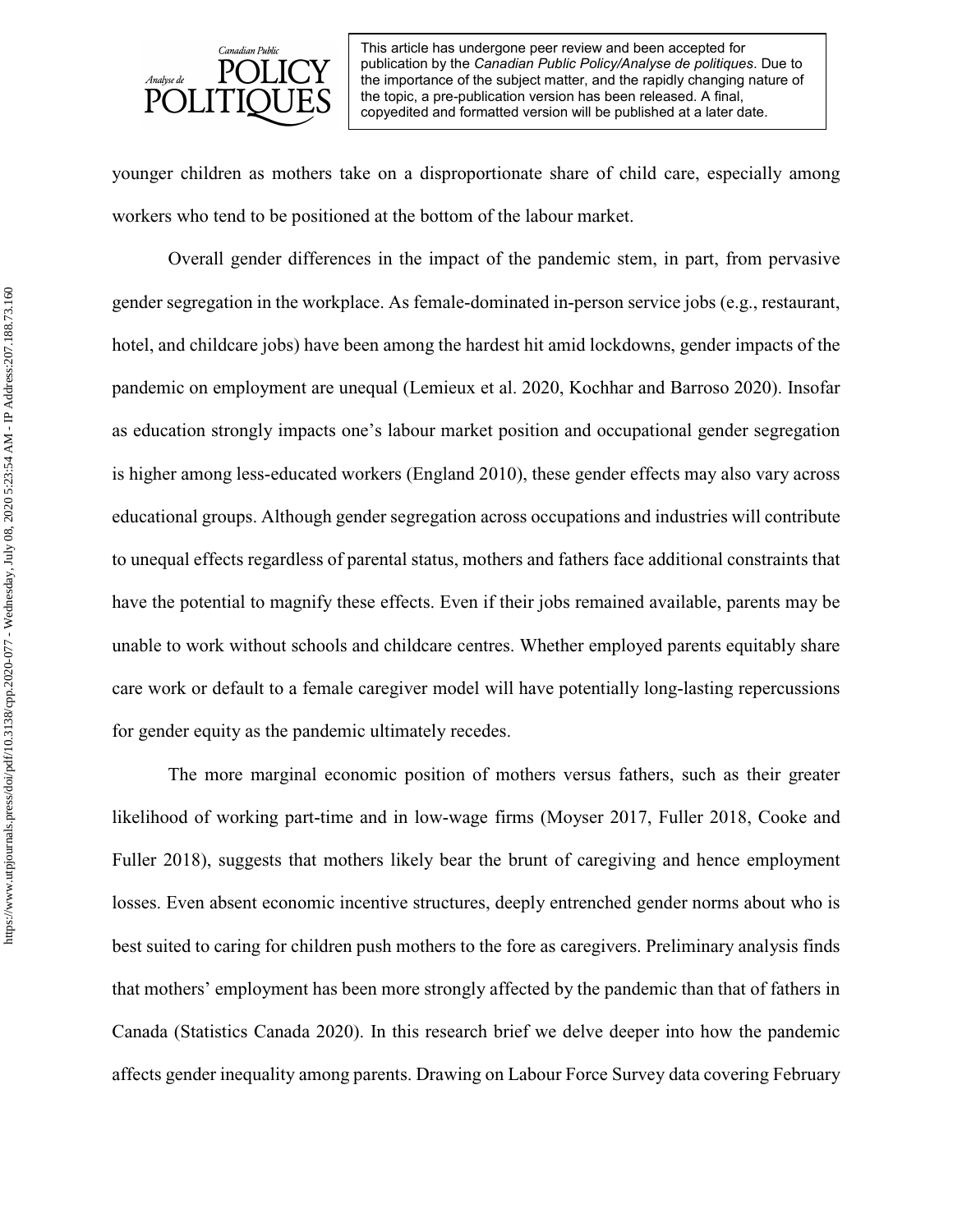

younger children as mothers take on a disproportionate share of child care, especially among workers who tend to be positioned at the bottom of the labour market.

Overall gender differences in the impact of the pandemic stem, in part, from pervasive gender segregation in the workplace. As female-dominated in-person service jobs (e.g., restaurant, hotel, and childcare jobs) have been among the hardest hit amid lockdowns, gender impacts of the pandemic on employment are unequal (Lemieux et al. 2020, Kochhar and Barroso 2020). Insofar as education strongly impacts one's labour market position and occupational gender segregation is higher among less-educated workers (England 2010), these gender effects may also vary across educational groups. Although gender segregation across occupations and industries will contribute to unequal effects regardless of parental status, mothers and fathers face additional constraints that have the potential to magnify these effects. Even if their jobs remained available, parents may be unable to work without schools and childcare centres. Whether employed parents equitably share care work or default to a female caregiver model will have potentially long-lasting repercussions for gender equity as the pandemic ultimately recedes.

The more marginal economic position of mothers versus fathers, such as their greater likelihood of working part-time and in low-wage firms (Moyser 2017, Fuller 2018, Cooke and Fuller 2018), suggests that mothers likely bear the brunt of caregiving and hence employment losses. Even absent economic incentive structures, deeply entrenched gender norms about who is best suited to caring for children push mothers to the fore as caregivers. Preliminary analysis finds that mothers' employment has been more strongly affected by the pandemic than that of fathers in Canada (Statistics Canada 2020). In this research brief we delve deeper into how the pandemic affects gender inequality among parents. Drawing on Labour Force Survey data covering February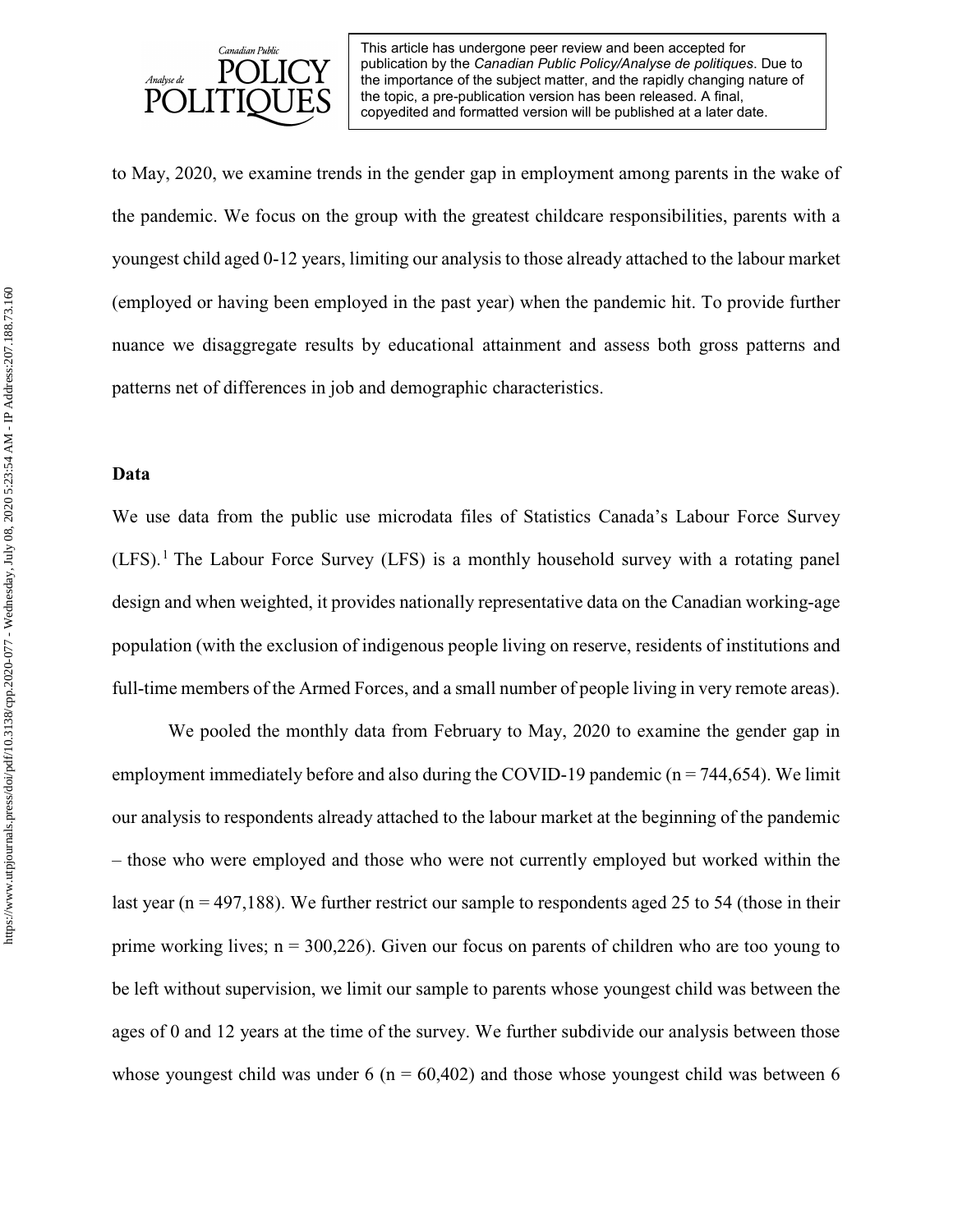

to May, 2020, we examine trends in the gender gap in employment among parents in the wake of the pandemic. We focus on the group with the greatest childcare responsibilities, parents with a youngest child aged 0-12 years, limiting our analysis to those already attached to the labour market (employed or having been employed in the past year) when the pandemic hit. To provide further nuance we disaggregate results by educational attainment and assess both gross patterns and patterns net of differences in job and demographic characteristics.

## **Data**

We use data from the public use microdata files of Statistics Canada's Labour Force Survey  $(LFS)$ .<sup>[1](#page-28-0)</sup> The Labour Force Survey (LFS) is a monthly household survey with a rotating panel design and when weighted, it provides nationally representative data on the Canadian working-age population (with the exclusion of indigenous people living on reserve, residents of institutions and full-time members of the Armed Forces, and a small number of people living in very remote areas).

We pooled the monthly data from February to May, 2020 to examine the gender gap in employment immediately before and also during the COVID-19 pandemic ( $n = 744,654$ ). We limit our analysis to respondents already attached to the labour market at the beginning of the pandemic – those who were employed and those who were not currently employed but worked within the last year ( $n = 497,188$ ). We further restrict our sample to respondents aged 25 to 54 (those in their prime working lives;  $n = 300,226$ ). Given our focus on parents of children who are too young to be left without supervision, we limit our sample to parents whose youngest child was between the ages of 0 and 12 years at the time of the survey. We further subdivide our analysis between those whose youngest child was under 6 ( $n = 60,402$ ) and those whose youngest child was between 6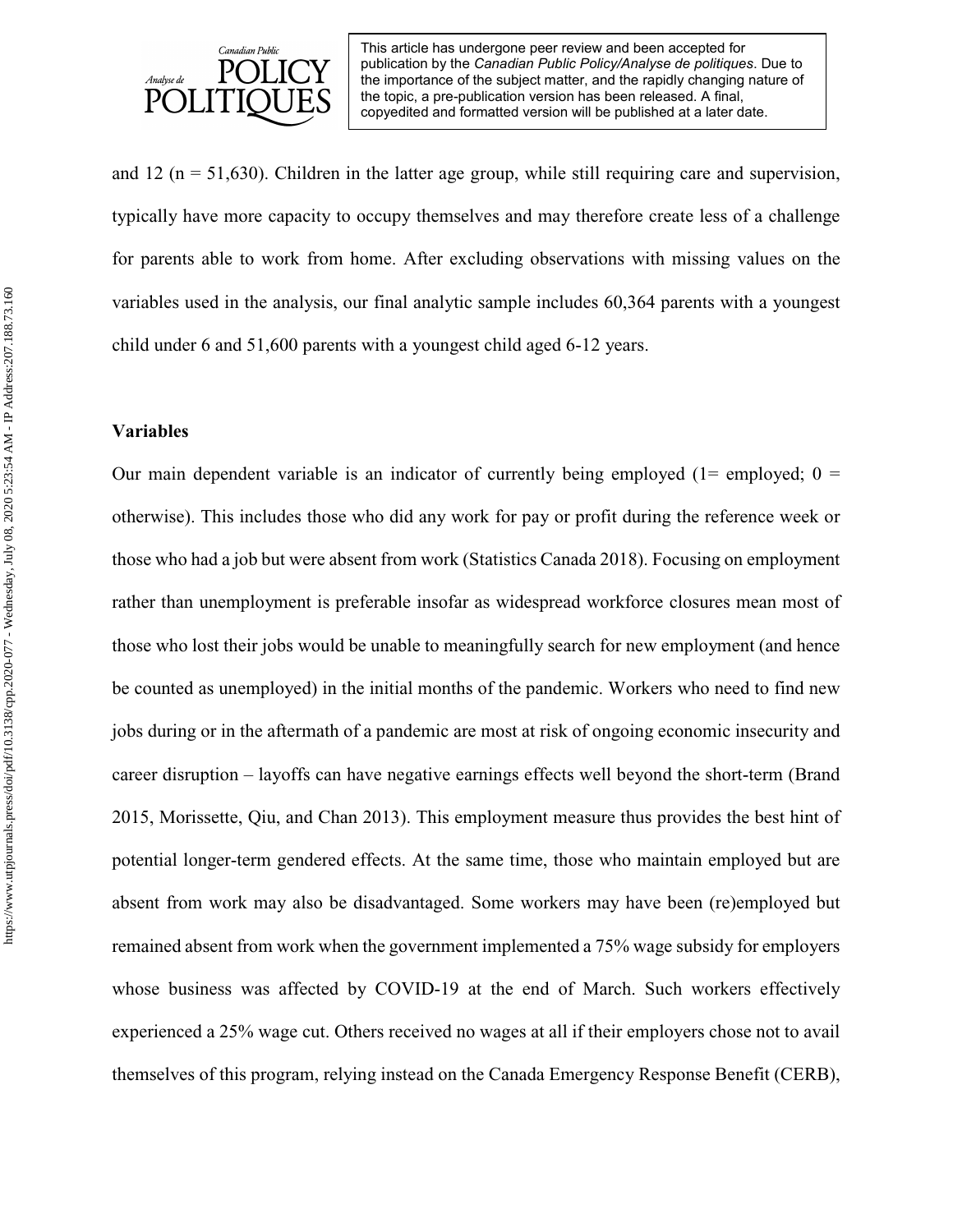

and 12 ( $n = 51,630$ ). Children in the latter age group, while still requiring care and supervision, typically have more capacity to occupy themselves and may therefore create less of a challenge for parents able to work from home. After excluding observations with missing values on the variables used in the analysis, our final analytic sample includes 60,364 parents with a youngest child under 6 and 51,600 parents with a youngest child aged 6-12 years.

## **Variables**

Our main dependent variable is an indicator of currently being employed ( $1=$  employed;  $0=$ otherwise). This includes those who did any work for pay or profit during the reference week or those who had a job but were absent from work (Statistics Canada 2018). Focusing on employment rather than unemployment is preferable insofar as widespread workforce closures mean most of those who lost their jobs would be unable to meaningfully search for new employment (and hence be counted as unemployed) in the initial months of the pandemic. Workers who need to find new jobs during or in the aftermath of a pandemic are most at risk of ongoing economic insecurity and career disruption – layoffs can have negative earnings effects well beyond the short-term (Brand 2015, Morissette, Qiu, and Chan 2013). This employment measure thus provides the best hint of potential longer-term gendered effects. At the same time, those who maintain employed but are absent from work may also be disadvantaged. Some workers may have been (re)employed but remained absent from work when the government implemented a 75% wage subsidy for employers whose business was affected by COVID-19 at the end of March. Such workers effectively experienced a 25% wage cut. Others received no wages at all if their employers chose not to avail themselves of this program, relying instead on the Canada Emergency Response Benefit (CERB),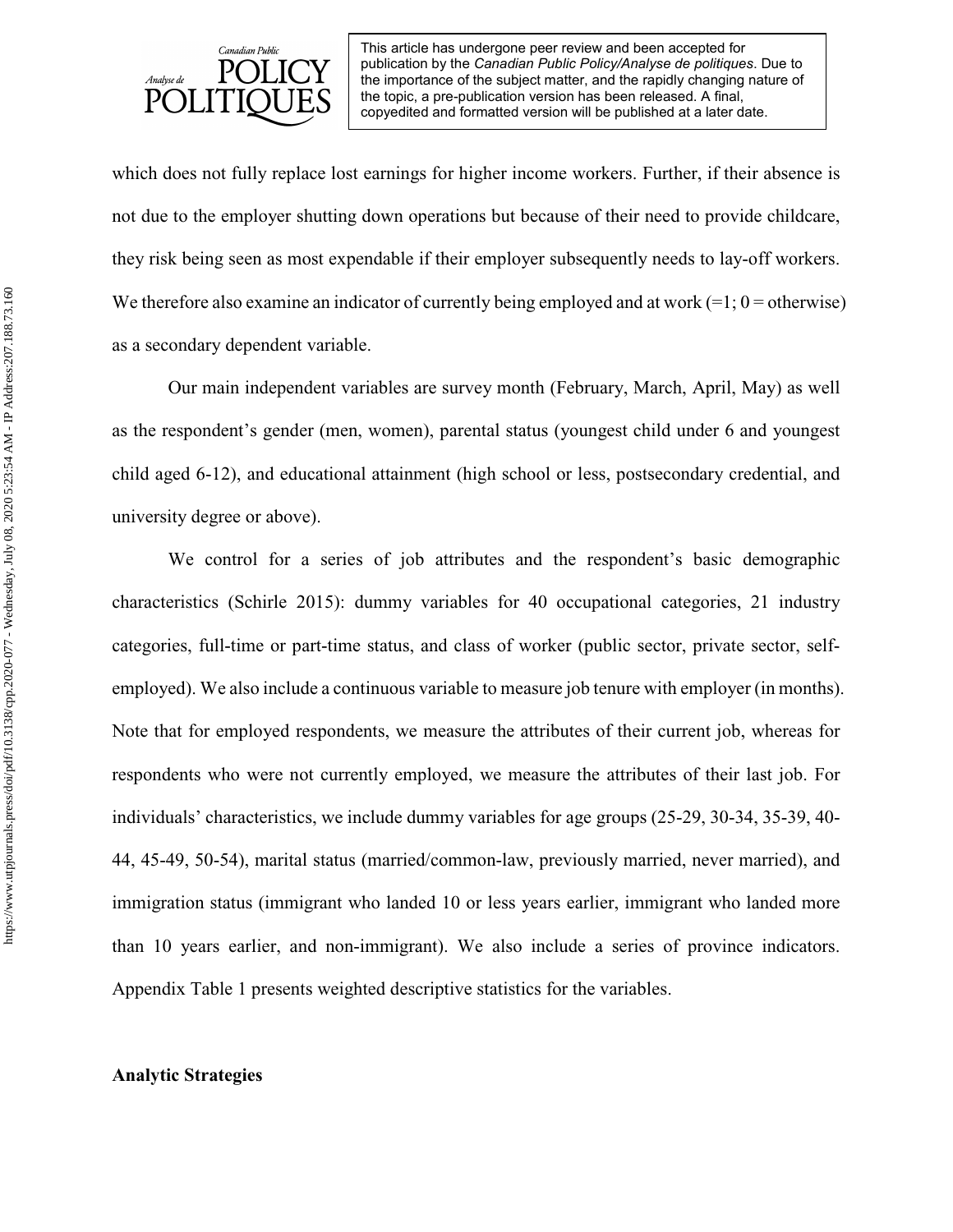

which does not fully replace lost earnings for higher income workers. Further, if their absence is not due to the employer shutting down operations but because of their need to provide childcare, they risk being seen as most expendable if their employer subsequently needs to lay-off workers. We therefore also examine an indicator of currently being employed and at work  $(=1; 0 =$  otherwise) as a secondary dependent variable.

Our main independent variables are survey month (February, March, April, May) as well as the respondent's gender (men, women), parental status (youngest child under 6 and youngest child aged 6-12), and educational attainment (high school or less, postsecondary credential, and university degree or above).

We control for a series of job attributes and the respondent's basic demographic characteristics (Schirle 2015): dummy variables for 40 occupational categories, 21 industry categories, full-time or part-time status, and class of worker (public sector, private sector, selfemployed). We also include a continuous variable to measure job tenure with employer (in months). Note that for employed respondents, we measure the attributes of their current job, whereas for respondents who were not currently employed, we measure the attributes of their last job. For individuals' characteristics, we include dummy variables for age groups (25-29, 30-34, 35-39, 40- 44, 45-49, 50-54), marital status (married/common-law, previously married, never married), and immigration status (immigrant who landed 10 or less years earlier, immigrant who landed more than 10 years earlier, and non-immigrant). We also include a series of province indicators. Appendix Table 1 presents weighted descriptive statistics for the variables.

#### **Analytic Strategies**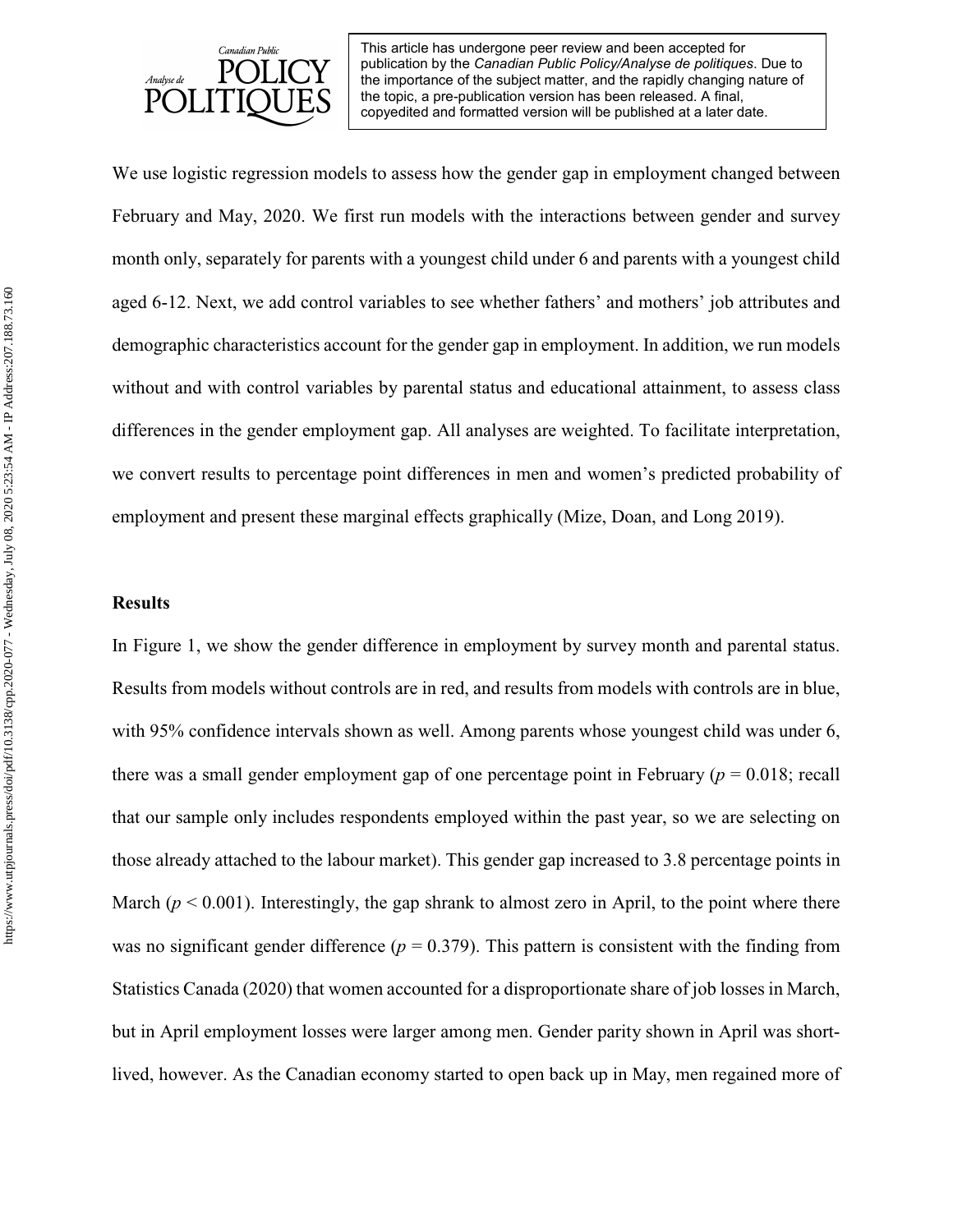

We use logistic regression models to assess how the gender gap in employment changed between February and May, 2020. We first run models with the interactions between gender and survey month only, separately for parents with a youngest child under 6 and parents with a youngest child aged 6-12. Next, we add control variables to see whether fathers' and mothers' job attributes and demographic characteristics account for the gender gap in employment. In addition, we run models without and with control variables by parental status and educational attainment, to assess class differences in the gender employment gap. All analyses are weighted. To facilitate interpretation, we convert results to percentage point differences in men and women's predicted probability of employment and present these marginal effects graphically (Mize, Doan, and Long 2019).

#### **Results**

In Figure 1, we show the gender difference in employment by survey month and parental status. Results from models without controls are in red, and results from models with controls are in blue, with 95% confidence intervals shown as well. Among parents whose youngest child was under 6, there was a small gender employment gap of one percentage point in February ( $p = 0.018$ ; recall that our sample only includes respondents employed within the past year, so we are selecting on those already attached to the labour market). This gender gap increased to 3.8 percentage points in March ( $p < 0.001$ ). Interestingly, the gap shrank to almost zero in April, to the point where there was no significant gender difference  $(p = 0.379)$ . This pattern is consistent with the finding from Statistics Canada (2020) that women accounted for a disproportionate share of job losses in March, but in April employment losses were larger among men. Gender parity shown in April was shortlived, however. As the Canadian economy started to open back up in May, men regained more of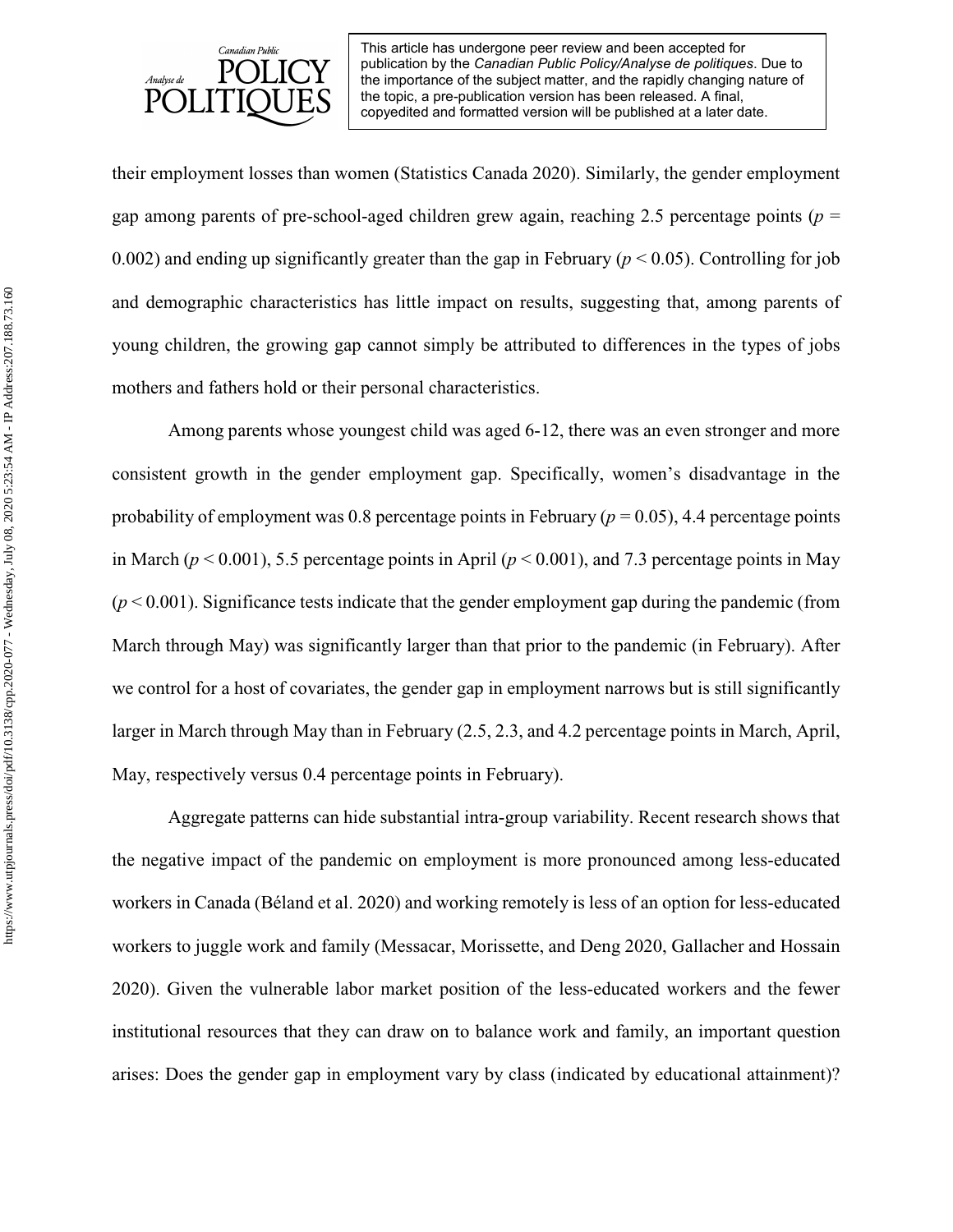

their employment losses than women (Statistics Canada 2020). Similarly, the gender employment gap among parents of pre-school-aged children grew again, reaching 2.5 percentage points ( $p =$ 0.002) and ending up significantly greater than the gap in February ( $p < 0.05$ ). Controlling for job and demographic characteristics has little impact on results, suggesting that, among parents of young children, the growing gap cannot simply be attributed to differences in the types of jobs mothers and fathers hold or their personal characteristics.

Among parents whose youngest child was aged 6-12, there was an even stronger and more consistent growth in the gender employment gap. Specifically, women's disadvantage in the probability of employment was 0.8 percentage points in February ( $p = 0.05$ ), 4.4 percentage points in March ( $p < 0.001$ ), 5.5 percentage points in April ( $p < 0.001$ ), and 7.3 percentage points in May  $(p<0.001)$ . Significance tests indicate that the gender employment gap during the pandemic (from March through May) was significantly larger than that prior to the pandemic (in February). After we control for a host of covariates, the gender gap in employment narrows but is still significantly larger in March through May than in February (2.5, 2.3, and 4.2 percentage points in March, April, May, respectively versus 0.4 percentage points in February).

Aggregate patterns can hide substantial intra-group variability. Recent research shows that the negative impact of the pandemic on employment is more pronounced among less-educated workers in Canada (Béland et al. 2020) and working remotely is less of an option for less-educated workers to juggle work and family (Messacar, Morissette, and Deng 2020, Gallacher and Hossain 2020). Given the vulnerable labor market position of the less-educated workers and the fewer institutional resources that they can draw on to balance work and family, an important question arises: Does the gender gap in employment vary by class (indicated by educational attainment)?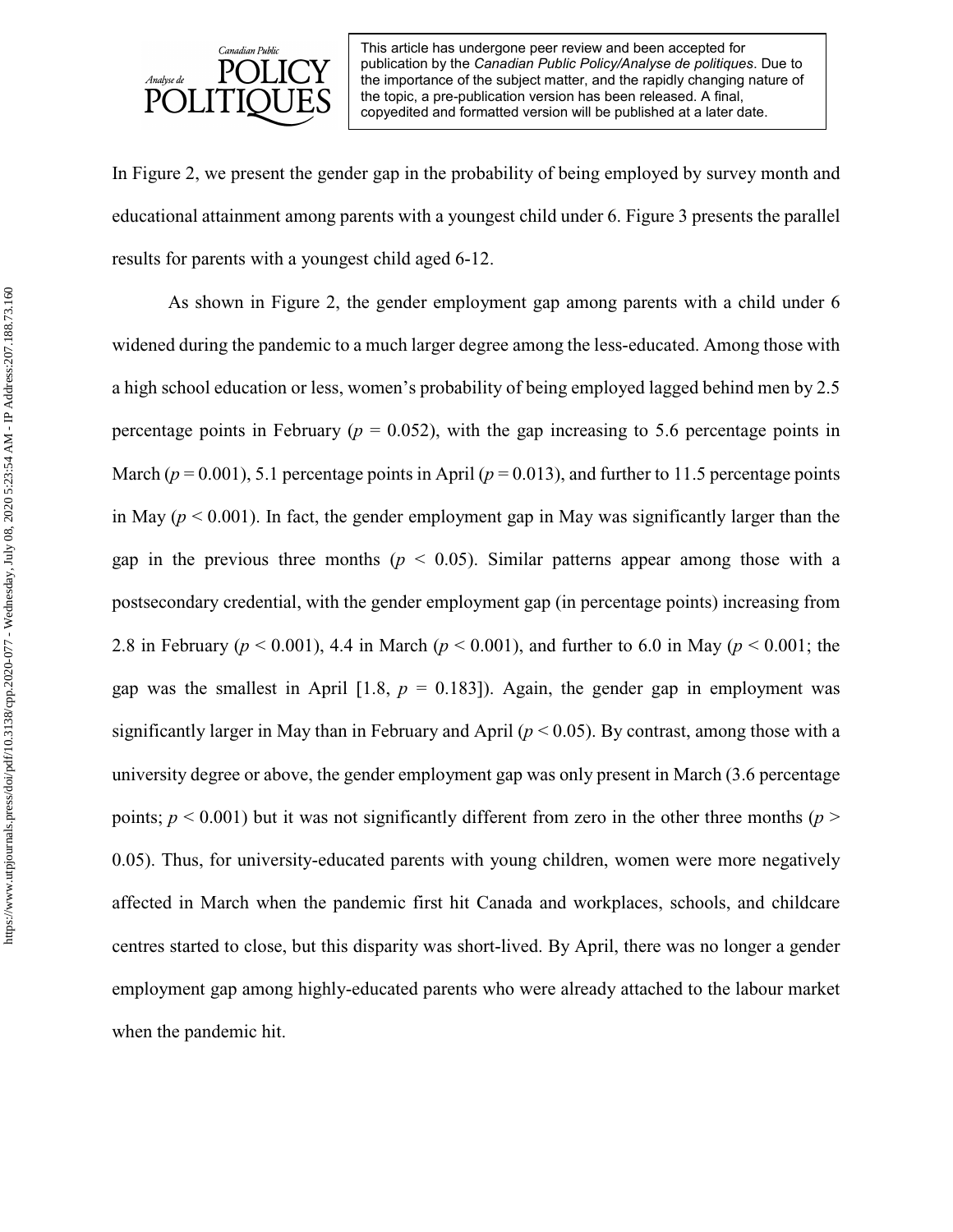

In Figure 2, we present the gender gap in the probability of being employed by survey month and educational attainment among parents with a youngest child under 6. Figure 3 presents the parallel results for parents with a youngest child aged 6-12.

As shown in Figure 2, the gender employment gap among parents with a child under 6 widened during the pandemic to a much larger degree among the less-educated. Among those with a high school education or less, women's probability of being employed lagged behind men by 2.5 percentage points in February ( $p = 0.052$ ), with the gap increasing to 5.6 percentage points in March ( $p = 0.001$ ), 5.1 percentage points in April ( $p = 0.013$ ), and further to 11.5 percentage points in May ( $p < 0.001$ ). In fact, the gender employment gap in May was significantly larger than the gap in the previous three months ( $p \le 0.05$ ). Similar patterns appear among those with a postsecondary credential, with the gender employment gap (in percentage points) increasing from 2.8 in February (*p* < 0.001), 4.4 in March (*p* < 0.001), and further to 6.0 in May (*p* < 0.001; the gap was the smallest in April [1.8,  $p = 0.183$ ]). Again, the gender gap in employment was significantly larger in May than in February and April ( $p < 0.05$ ). By contrast, among those with a university degree or above, the gender employment gap was only present in March (3.6 percentage points;  $p < 0.001$ ) but it was not significantly different from zero in the other three months ( $p >$ 0.05). Thus, for university-educated parents with young children, women were more negatively affected in March when the pandemic first hit Canada and workplaces, schools, and childcare centres started to close, but this disparity was short-lived. By April, there was no longer a gender employment gap among highly-educated parents who were already attached to the labour market when the pandemic hit.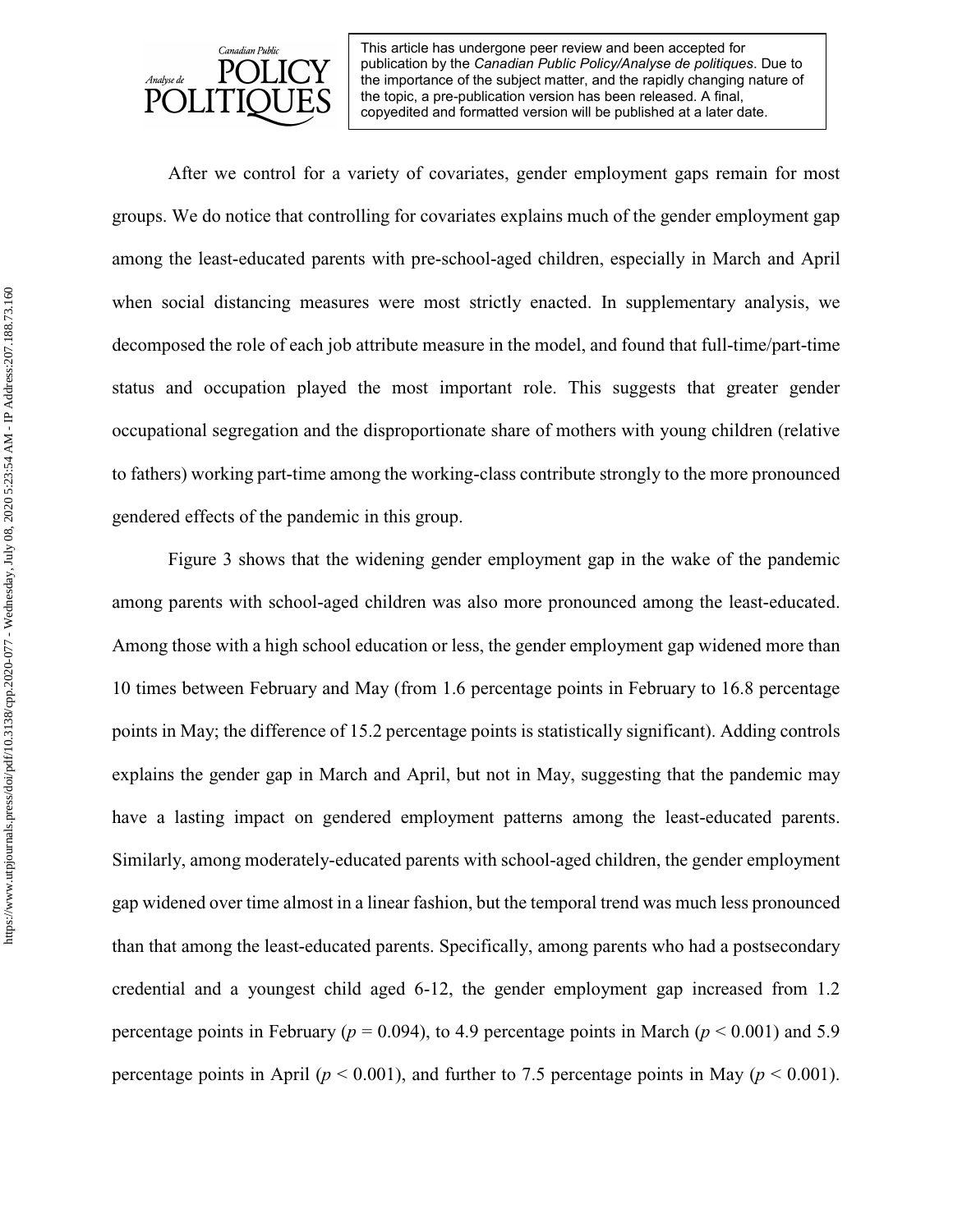

After we control for a variety of covariates, gender employment gaps remain for most groups. We do notice that controlling for covariates explains much of the gender employment gap among the least-educated parents with pre-school-aged children, especially in March and April when social distancing measures were most strictly enacted. In supplementary analysis, we decomposed the role of each job attribute measure in the model, and found that full-time/part-time status and occupation played the most important role. This suggests that greater gender occupational segregation and the disproportionate share of mothers with young children (relative to fathers) working part-time among the working-class contribute strongly to the more pronounced gendered effects of the pandemic in this group.

Figure 3 shows that the widening gender employment gap in the wake of the pandemic among parents with school-aged children was also more pronounced among the least-educated. Among those with a high school education or less, the gender employment gap widened more than 10 times between February and May (from 1.6 percentage points in February to 16.8 percentage points in May; the difference of 15.2 percentage points is statistically significant). Adding controls explains the gender gap in March and April, but not in May, suggesting that the pandemic may have a lasting impact on gendered employment patterns among the least-educated parents. Similarly, among moderately-educated parents with school-aged children, the gender employment gap widened over time almost in a linear fashion, but the temporal trend was much less pronounced than that among the least-educated parents. Specifically, among parents who had a postsecondary credential and a youngest child aged 6-12, the gender employment gap increased from 1.2 percentage points in February ( $p = 0.094$ ), to 4.9 percentage points in March ( $p \le 0.001$ ) and 5.9 percentage points in April ( $p < 0.001$ ), and further to 7.5 percentage points in May ( $p < 0.001$ ).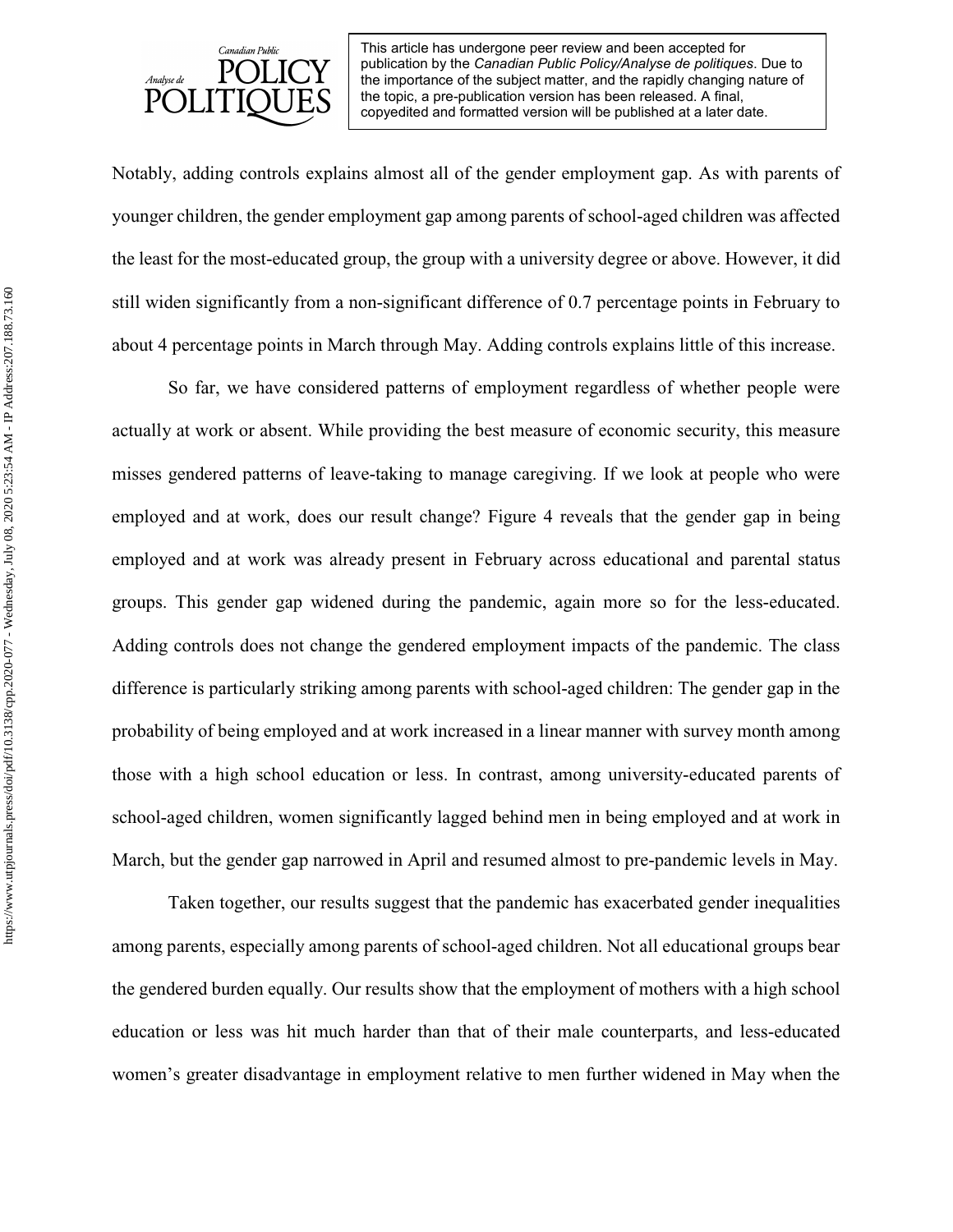

Notably, adding controls explains almost all of the gender employment gap. As with parents of younger children, the gender employment gap among parents of school-aged children was affected the least for the most-educated group, the group with a university degree or above. However, it did still widen significantly from a non-significant difference of 0.7 percentage points in February to about 4 percentage points in March through May. Adding controls explains little of this increase.

So far, we have considered patterns of employment regardless of whether people were actually at work or absent. While providing the best measure of economic security, this measure misses gendered patterns of leave-taking to manage caregiving. If we look at people who were employed and at work, does our result change? Figure 4 reveals that the gender gap in being employed and at work was already present in February across educational and parental status groups. This gender gap widened during the pandemic, again more so for the less-educated. Adding controls does not change the gendered employment impacts of the pandemic. The class difference is particularly striking among parents with school-aged children: The gender gap in the probability of being employed and at work increased in a linear manner with survey month among those with a high school education or less. In contrast, among university-educated parents of school-aged children, women significantly lagged behind men in being employed and at work in March, but the gender gap narrowed in April and resumed almost to pre-pandemic levels in May.

Taken together, our results suggest that the pandemic has exacerbated gender inequalities among parents, especially among parents of school-aged children. Not all educational groups bear the gendered burden equally. Our results show that the employment of mothers with a high school education or less was hit much harder than that of their male counterparts, and less-educated women's greater disadvantage in employment relative to men further widened in May when the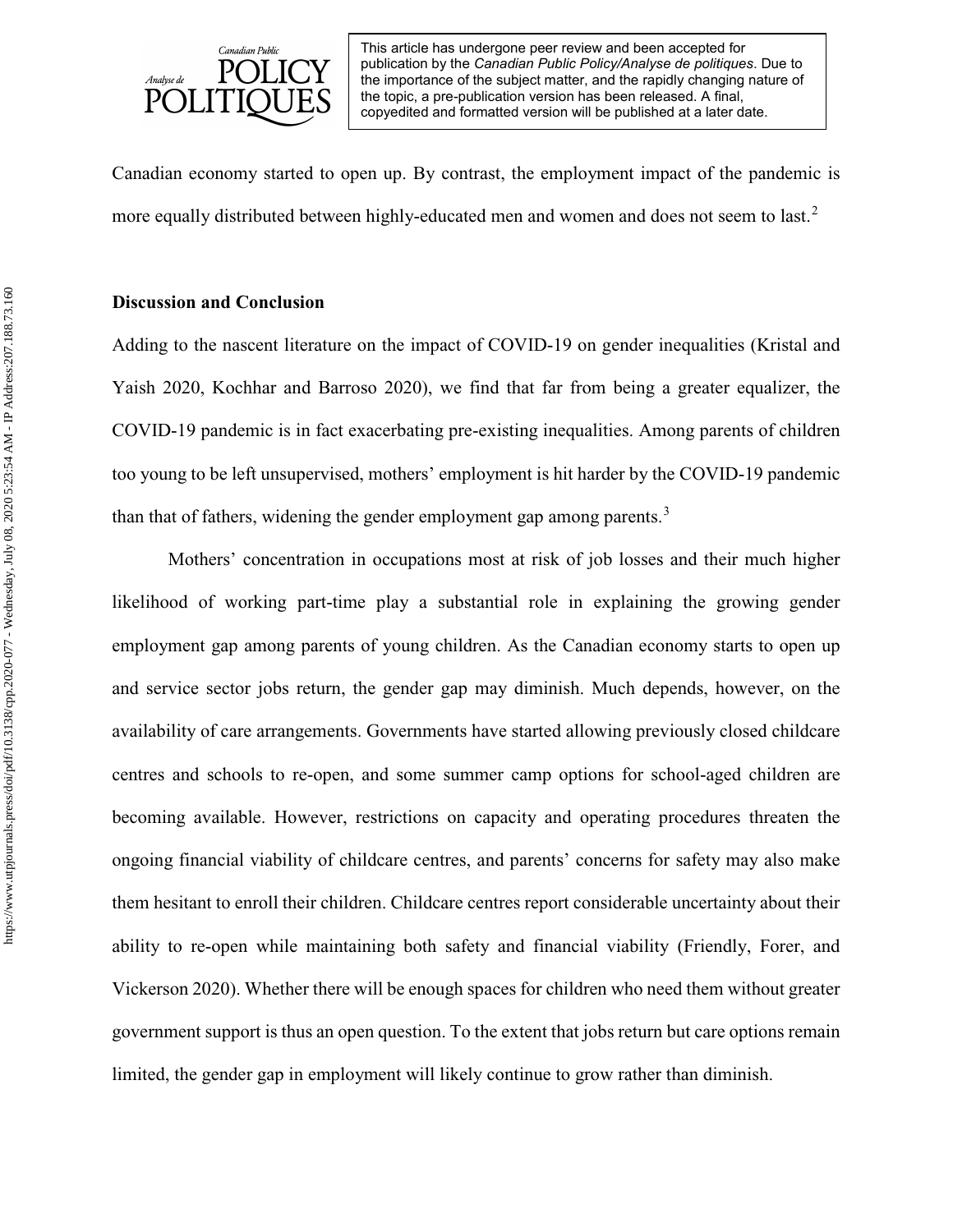

Canadian economy started to open up. By contrast, the employment impact of the pandemic is more equally distributed between highly-educated men and women and does not seem to last.<sup>[2](#page-28-1)</sup>

## **Discussion and Conclusion**

Adding to the nascent literature on the impact of COVID-19 on gender inequalities (Kristal and Yaish 2020, Kochhar and Barroso 2020), we find that far from being a greater equalizer, the COVID-19 pandemic is in fact exacerbating pre-existing inequalities. Among parents of children too young to be left unsupervised, mothers' employment is hit harder by the COVID-19 pandemic than that of fathers, widening the gender employment gap among parents.<sup>[3](#page-28-2)</sup>

Mothers' concentration in occupations most at risk of job losses and their much higher likelihood of working part-time play a substantial role in explaining the growing gender employment gap among parents of young children. As the Canadian economy starts to open up and service sector jobs return, the gender gap may diminish. Much depends, however, on the availability of care arrangements. Governments have started allowing previously closed childcare centres and schools to re-open, and some summer camp options for school-aged children are becoming available. However, restrictions on capacity and operating procedures threaten the ongoing financial viability of childcare centres, and parents' concerns for safety may also make them hesitant to enroll their children. Childcare centres report considerable uncertainty about their ability to re-open while maintaining both safety and financial viability (Friendly, Forer, and Vickerson 2020). Whether there will be enough spaces for children who need them without greater government support is thus an open question. To the extent that jobs return but care options remain limited, the gender gap in employment will likely continue to grow rather than diminish.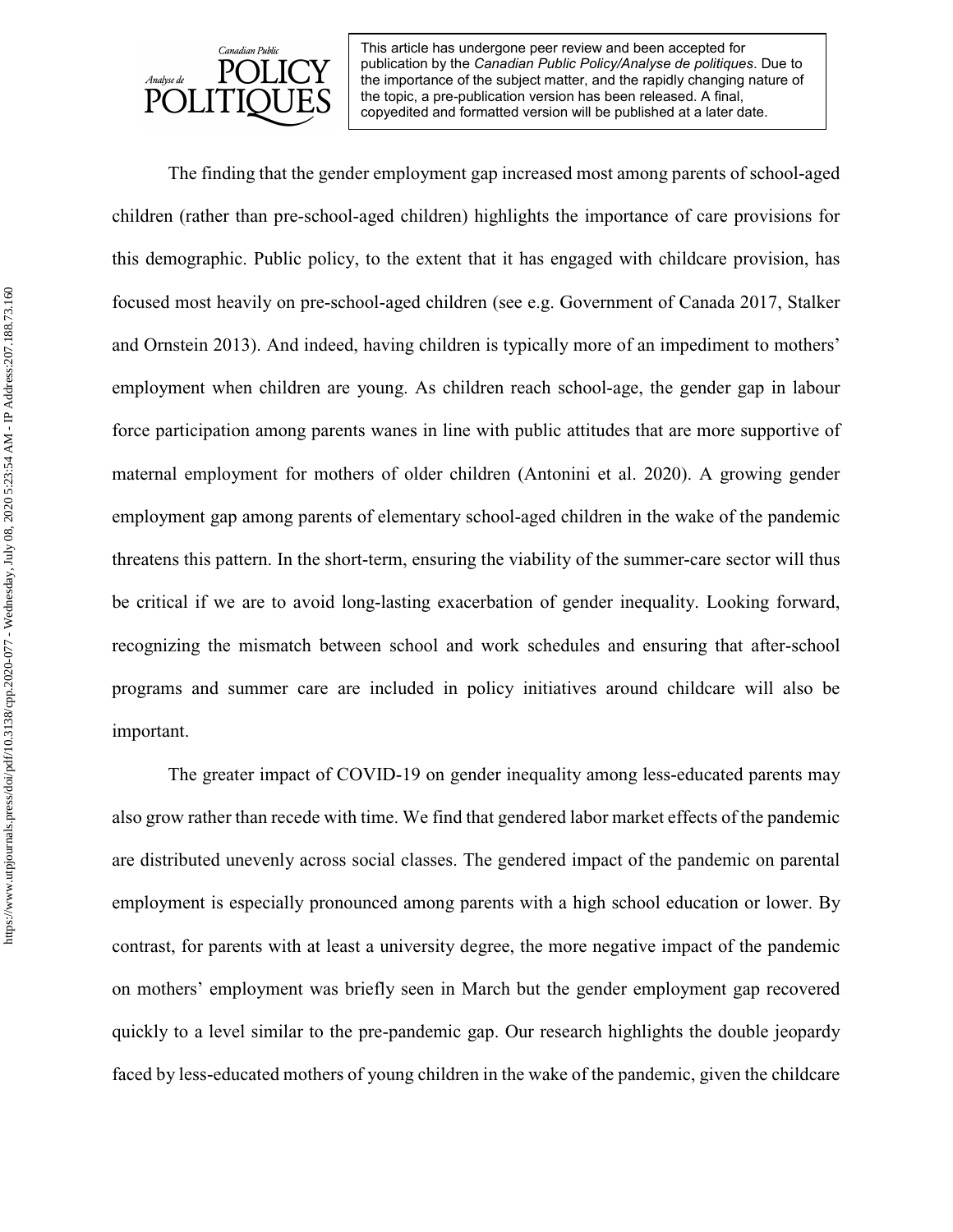

The finding that the gender employment gap increased most among parents of school-aged children (rather than pre-school-aged children) highlights the importance of care provisions for this demographic. Public policy, to the extent that it has engaged with childcare provision, has focused most heavily on pre-school-aged children (see e.g. Government of Canada 2017, Stalker and Ornstein 2013). And indeed, having children is typically more of an impediment to mothers' employment when children are young. As children reach school-age, the gender gap in labour force participation among parents wanes in line with public attitudes that are more supportive of maternal employment for mothers of older children (Antonini et al. 2020). A growing gender employment gap among parents of elementary school-aged children in the wake of the pandemic threatens this pattern. In the short-term, ensuring the viability of the summer-care sector will thus be critical if we are to avoid long-lasting exacerbation of gender inequality. Looking forward, recognizing the mismatch between school and work schedules and ensuring that after-school programs and summer care are included in policy initiatives around childcare will also be important.

The greater impact of COVID-19 on gender inequality among less-educated parents may also grow rather than recede with time. We find that gendered labor market effects of the pandemic are distributed unevenly across social classes. The gendered impact of the pandemic on parental employment is especially pronounced among parents with a high school education or lower. By contrast, for parents with at least a university degree, the more negative impact of the pandemic on mothers' employment was briefly seen in March but the gender employment gap recovered quickly to a level similar to the pre-pandemic gap. Our research highlights the double jeopardy faced by less-educated mothers of young children in the wake of the pandemic, given the childcare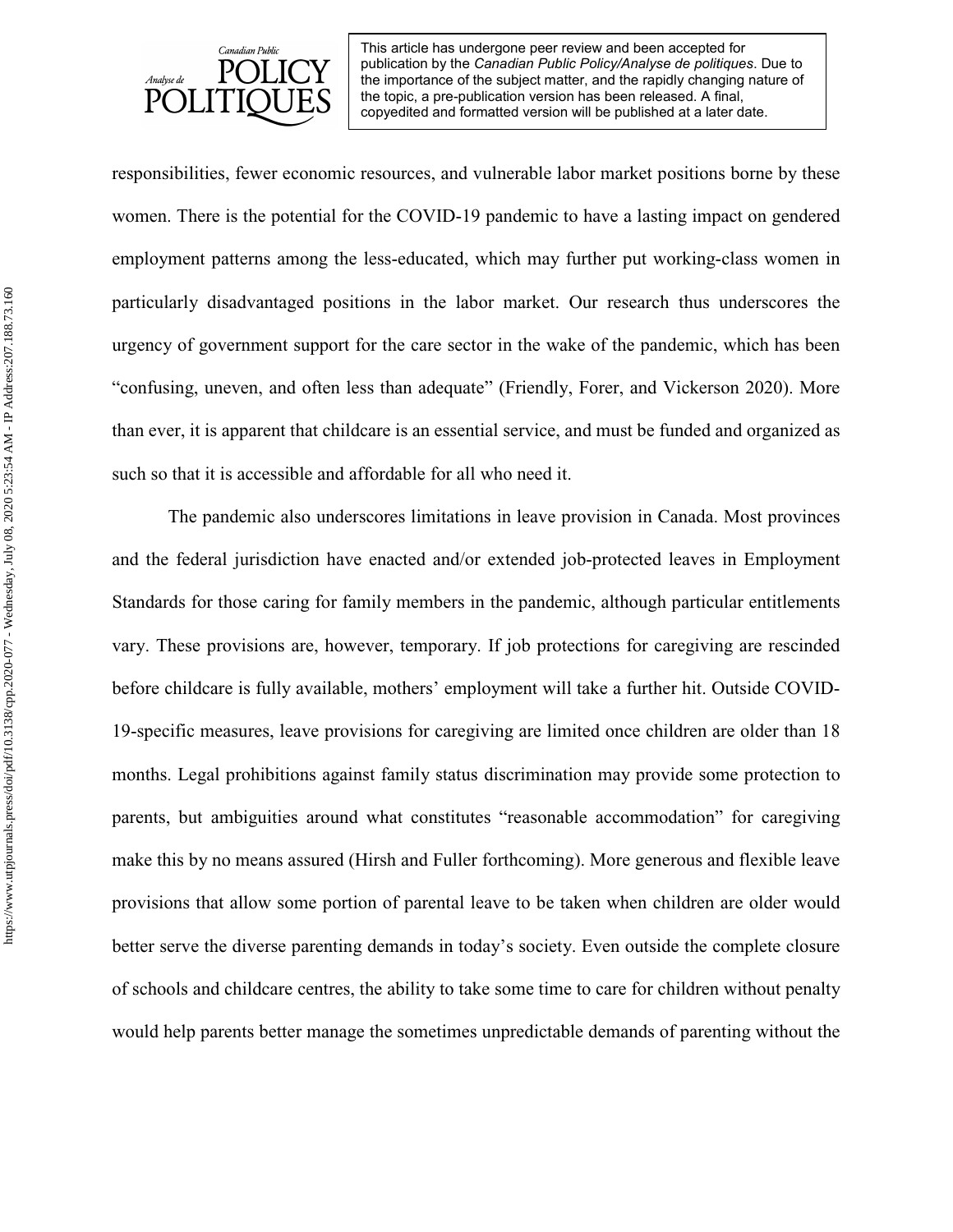

responsibilities, fewer economic resources, and vulnerable labor market positions borne by these women. There is the potential for the COVID-19 pandemic to have a lasting impact on gendered employment patterns among the less-educated, which may further put working-class women in particularly disadvantaged positions in the labor market. Our research thus underscores the urgency of government support for the care sector in the wake of the pandemic, which has been "confusing, uneven, and often less than adequate" (Friendly, Forer, and Vickerson 2020). More than ever, it is apparent that childcare is an essential service, and must be funded and organized as such so that it is accessible and affordable for all who need it.

The pandemic also underscores limitations in leave provision in Canada. Most provinces and the federal jurisdiction have enacted and/or extended job-protected leaves in Employment Standards for those caring for family members in the pandemic, although particular entitlements vary. These provisions are, however, temporary. If job protections for caregiving are rescinded before childcare is fully available, mothers' employment will take a further hit. Outside COVID-19-specific measures, leave provisions for caregiving are limited once children are older than 18 months. Legal prohibitions against family status discrimination may provide some protection to parents, but ambiguities around what constitutes "reasonable accommodation" for caregiving make this by no means assured (Hirsh and Fuller forthcoming). More generous and flexible leave provisions that allow some portion of parental leave to be taken when children are older would better serve the diverse parenting demands in today's society. Even outside the complete closure of schools and childcare centres, the ability to take some time to care for children without penalty would help parents better manage the sometimes unpredictable demands of parenting without the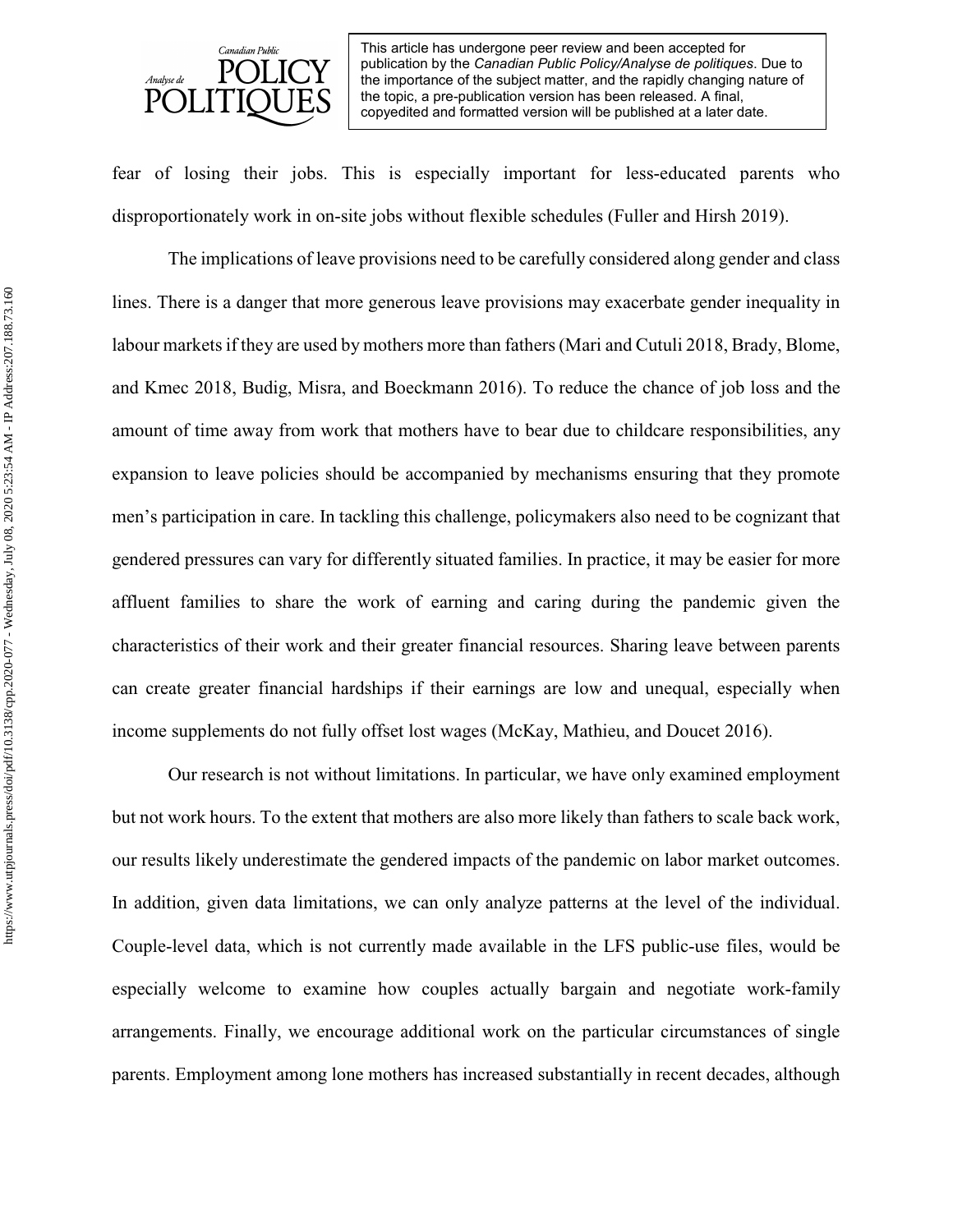

fear of losing their jobs. This is especially important for less-educated parents who disproportionately work in on-site jobs without flexible schedules (Fuller and Hirsh 2019).

The implications of leave provisions need to be carefully considered along gender and class lines. There is a danger that more generous leave provisions may exacerbate gender inequality in labour markets if they are used by mothers more than fathers (Mari and Cutuli 2018, Brady, Blome, and Kmec 2018, Budig, Misra, and Boeckmann 2016). To reduce the chance of job loss and the amount of time away from work that mothers have to bear due to childcare responsibilities, any expansion to leave policies should be accompanied by mechanisms ensuring that they promote men's participation in care. In tackling this challenge, policymakers also need to be cognizant that gendered pressures can vary for differently situated families. In practice, it may be easier for more affluent families to share the work of earning and caring during the pandemic given the characteristics of their work and their greater financial resources. Sharing leave between parents can create greater financial hardships if their earnings are low and unequal, especially when income supplements do not fully offset lost wages (McKay, Mathieu, and Doucet 2016).

Our research is not without limitations. In particular, we have only examined employment but not work hours. To the extent that mothers are also more likely than fathers to scale back work, our results likely underestimate the gendered impacts of the pandemic on labor market outcomes. In addition, given data limitations, we can only analyze patterns at the level of the individual. Couple-level data, which is not currently made available in the LFS public-use files, would be especially welcome to examine how couples actually bargain and negotiate work-family arrangements. Finally, we encourage additional work on the particular circumstances of single parents. Employment among lone mothers has increased substantially in recent decades, although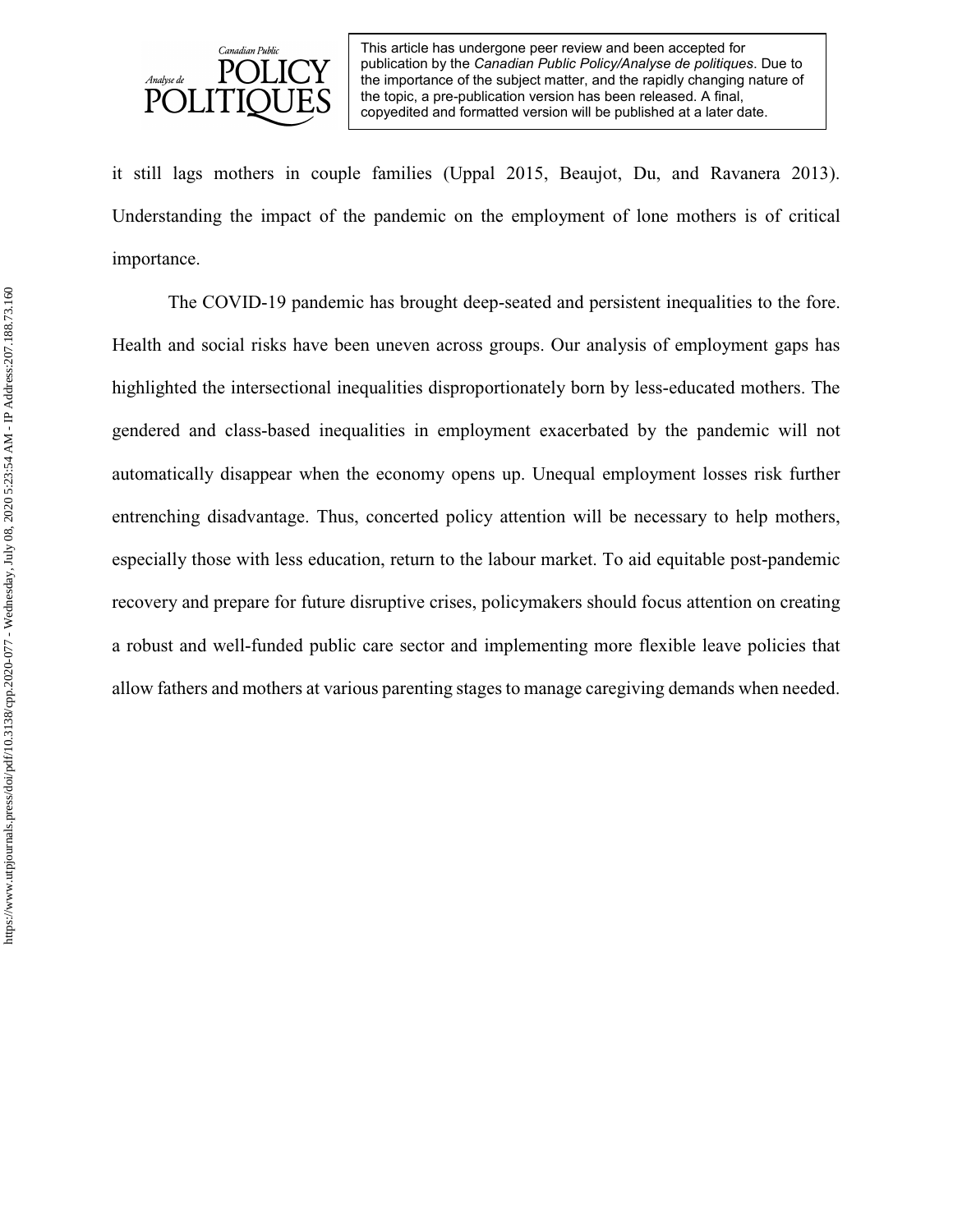

it still lags mothers in couple families (Uppal 2015, Beaujot, Du, and Ravanera 2013). Understanding the impact of the pandemic on the employment of lone mothers is of critical importance.

The COVID-19 pandemic has brought deep-seated and persistent inequalities to the fore. Health and social risks have been uneven across groups. Our analysis of employment gaps has highlighted the intersectional inequalities disproportionately born by less-educated mothers. The gendered and class-based inequalities in employment exacerbated by the pandemic will not automatically disappear when the economy opens up. Unequal employment losses risk further entrenching disadvantage. Thus, concerted policy attention will be necessary to help mothers, especially those with less education, return to the labour market. To aid equitable post-pandemic recovery and prepare for future disruptive crises, policymakers should focus attention on creating a robust and well-funded public care sector and implementing more flexible leave policies that allow fathers and mothers at various parenting stages to manage caregiving demands when needed.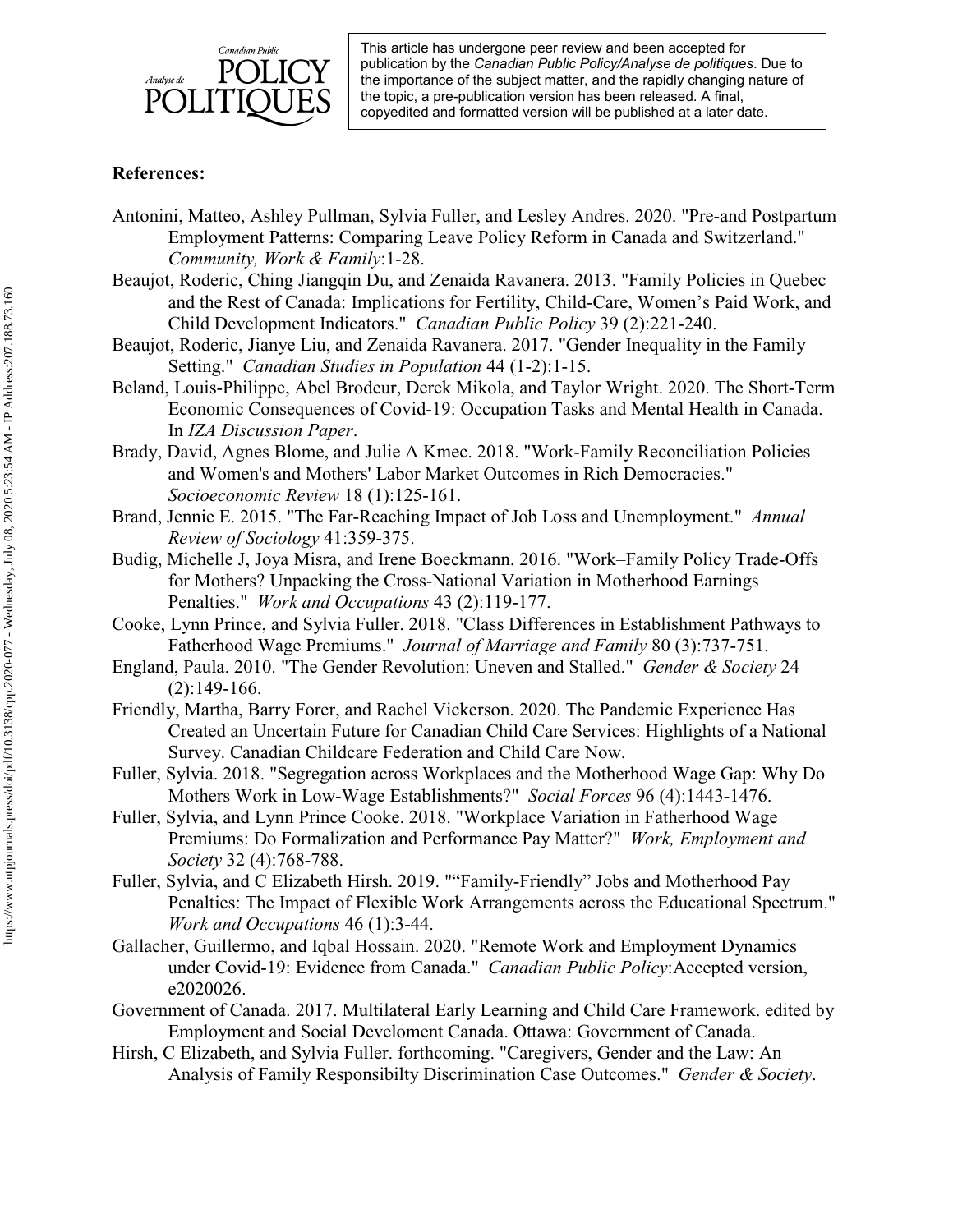

# **References:**

- Antonini, Matteo, Ashley Pullman, Sylvia Fuller, and Lesley Andres. 2020. "Pre-and Postpartum Employment Patterns: Comparing Leave Policy Reform in Canada and Switzerland." *Community, Work & Family*:1-28.
- Beaujot, Roderic, Ching Jiangqin Du, and Zenaida Ravanera. 2013. "Family Policies in Quebec and the Rest of Canada: Implications for Fertility, Child-Care, Women's Paid Work, and Child Development Indicators." *Canadian Public Policy* 39 (2):221-240.
- Beaujot, Roderic, Jianye Liu, and Zenaida Ravanera. 2017. "Gender Inequality in the Family Setting." *Canadian Studies in Population* 44 (1-2):1-15.
- Beland, Louis-Philippe, Abel Brodeur, Derek Mikola, and Taylor Wright. 2020. The Short-Term Economic Consequences of Covid-19: Occupation Tasks and Mental Health in Canada. In *IZA Discussion Paper*.
- Brady, David, Agnes Blome, and Julie A Kmec. 2018. "Work-Family Reconciliation Policies and Women's and Mothers' Labor Market Outcomes in Rich Democracies." *Socioeconomic Review* 18 (1):125-161.
- Brand, Jennie E. 2015. "The Far-Reaching Impact of Job Loss and Unemployment." *Annual Review of Sociology* 41:359-375.
- Budig, Michelle J, Joya Misra, and Irene Boeckmann. 2016. "Work–Family Policy Trade-Offs for Mothers? Unpacking the Cross-National Variation in Motherhood Earnings Penalties." *Work and Occupations* 43 (2):119-177.
- Cooke, Lynn Prince, and Sylvia Fuller. 2018. "Class Differences in Establishment Pathways to Fatherhood Wage Premiums." *Journal of Marriage and Family* 80 (3):737-751.
- England, Paula. 2010. "The Gender Revolution: Uneven and Stalled." *Gender & Society* 24 (2):149-166.
- Friendly, Martha, Barry Forer, and Rachel Vickerson. 2020. The Pandemic Experience Has Created an Uncertain Future for Canadian Child Care Services: Highlights of a National Survey. Canadian Childcare Federation and Child Care Now.
- Fuller, Sylvia. 2018. "Segregation across Workplaces and the Motherhood Wage Gap: Why Do Mothers Work in Low-Wage Establishments?" *Social Forces* 96 (4):1443-1476.
- Fuller, Sylvia, and Lynn Prince Cooke. 2018. "Workplace Variation in Fatherhood Wage Premiums: Do Formalization and Performance Pay Matter?" *Work, Employment and Society* 32 (4):768-788.
- Fuller, Sylvia, and C Elizabeth Hirsh. 2019. ""Family-Friendly" Jobs and Motherhood Pay Penalties: The Impact of Flexible Work Arrangements across the Educational Spectrum." *Work and Occupations* 46 (1):3-44.
- Gallacher, Guillermo, and Iqbal Hossain. 2020. "Remote Work and Employment Dynamics under Covid-19: Evidence from Canada." *Canadian Public Policy*:Accepted version, e2020026.
- Government of Canada. 2017. Multilateral Early Learning and Child Care Framework. edited by Employment and Social Develoment Canada. Ottawa: Government of Canada.
- Hirsh, C Elizabeth, and Sylvia Fuller. forthcoming. "Caregivers, Gender and the Law: An Analysis of Family Responsibilty Discrimination Case Outcomes." *Gender & Society*.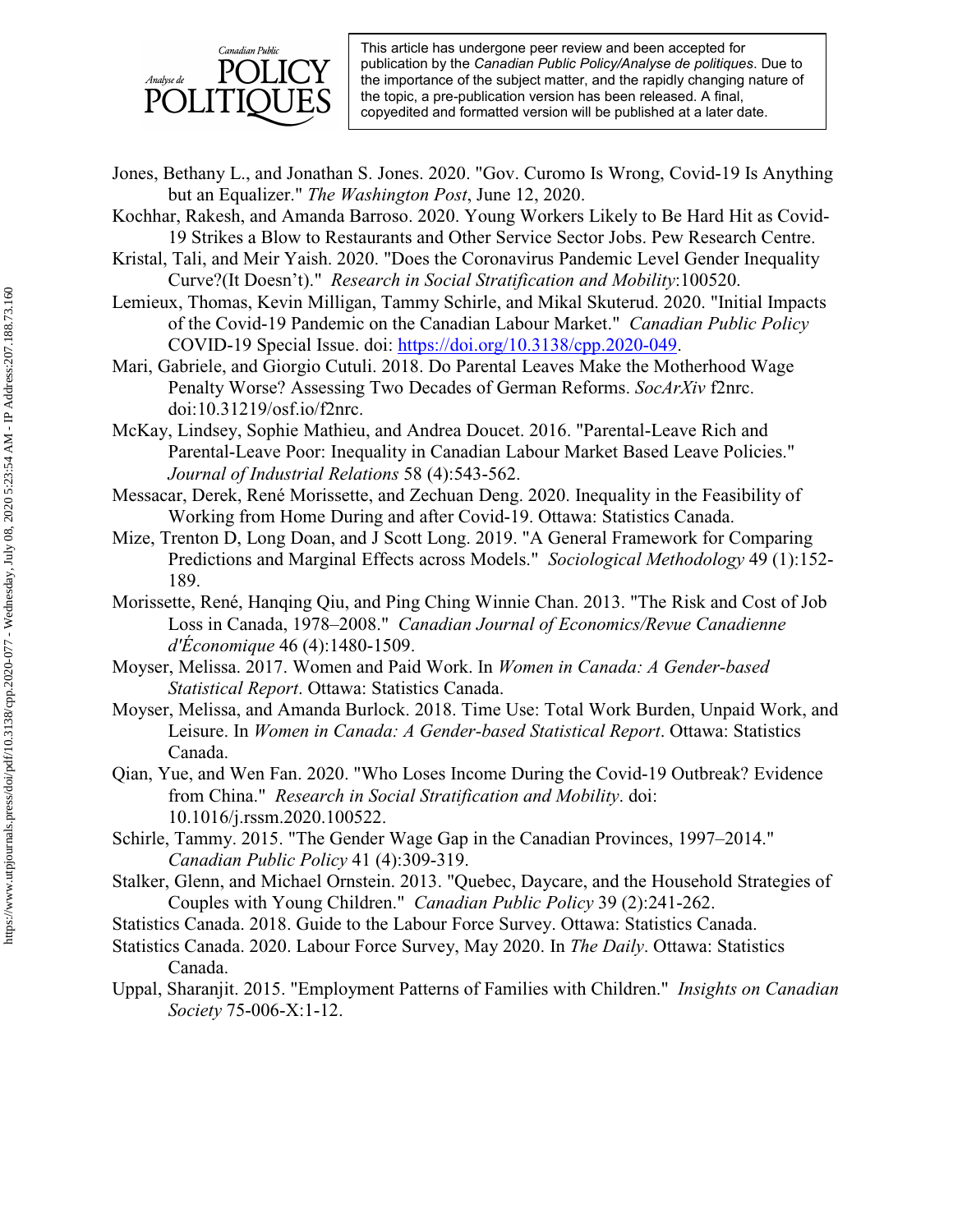

- Jones, Bethany L., and Jonathan S. Jones. 2020. "Gov. Curomo Is Wrong, Covid-19 Is Anything but an Equalizer." *The Washington Post*, June 12, 2020.
- Kochhar, Rakesh, and Amanda Barroso. 2020. Young Workers Likely to Be Hard Hit as Covid-19 Strikes a Blow to Restaurants and Other Service Sector Jobs. Pew Research Centre.
- Kristal, Tali, and Meir Yaish. 2020. "Does the Coronavirus Pandemic Level Gender Inequality Curve?(It Doesn't)." *Research in Social Stratification and Mobility*:100520.
- Lemieux, Thomas, Kevin Milligan, Tammy Schirle, and Mikal Skuterud. 2020. "Initial Impacts of the Covid-19 Pandemic on the Canadian Labour Market." *Canadian Public Policy* COVID-19 Special Issue. doi: [https://doi.org/10.3138/cpp.2020-049.](https://doi.org/10.3138/cpp.2020-049)
- Mari, Gabriele, and Giorgio Cutuli. 2018. Do Parental Leaves Make the Motherhood Wage Penalty Worse? Assessing Two Decades of German Reforms. *SocArXiv* f2nrc. doi:10.31219/osf.io/f2nrc.
- McKay, Lindsey, Sophie Mathieu, and Andrea Doucet. 2016. "Parental-Leave Rich and Parental-Leave Poor: Inequality in Canadian Labour Market Based Leave Policies." *Journal of Industrial Relations* 58 (4):543-562.
- Messacar, Derek, René Morissette, and Zechuan Deng. 2020. Inequality in the Feasibility of Working from Home During and after Covid-19. Ottawa: Statistics Canada.
- Mize, Trenton D, Long Doan, and J Scott Long. 2019. "A General Framework for Comparing Predictions and Marginal Effects across Models." *Sociological Methodology* 49 (1):152- 189.
- Morissette, René, Hanqing Qiu, and Ping Ching Winnie Chan. 2013. "The Risk and Cost of Job Loss in Canada, 1978–2008." *Canadian Journal of Economics/Revue Canadienne d'Économique* 46 (4):1480-1509.
- Moyser, Melissa. 2017. Women and Paid Work. In *Women in Canada: A Gender-based Statistical Report*. Ottawa: Statistics Canada.
- Moyser, Melissa, and Amanda Burlock. 2018. Time Use: Total Work Burden, Unpaid Work, and Leisure. In *Women in Canada: A Gender-based Statistical Report*. Ottawa: Statistics Canada.
- Qian, Yue, and Wen Fan. 2020. "Who Loses Income During the Covid-19 Outbreak? Evidence from China." *Research in Social Stratification and Mobility*. doi: 10.1016/j.rssm.2020.100522.
- Schirle, Tammy. 2015. "The Gender Wage Gap in the Canadian Provinces, 1997–2014." *Canadian Public Policy* 41 (4):309-319.
- Stalker, Glenn, and Michael Ornstein. 2013. "Quebec, Daycare, and the Household Strategies of Couples with Young Children." *Canadian Public Policy* 39 (2):241-262.
- Statistics Canada. 2018. Guide to the Labour Force Survey. Ottawa: Statistics Canada.
- Statistics Canada. 2020. Labour Force Survey, May 2020. In *The Daily*. Ottawa: Statistics Canada.
- Uppal, Sharanjit. 2015. "Employment Patterns of Families with Children." *Insights on Canadian Society* 75-006-X:1-12.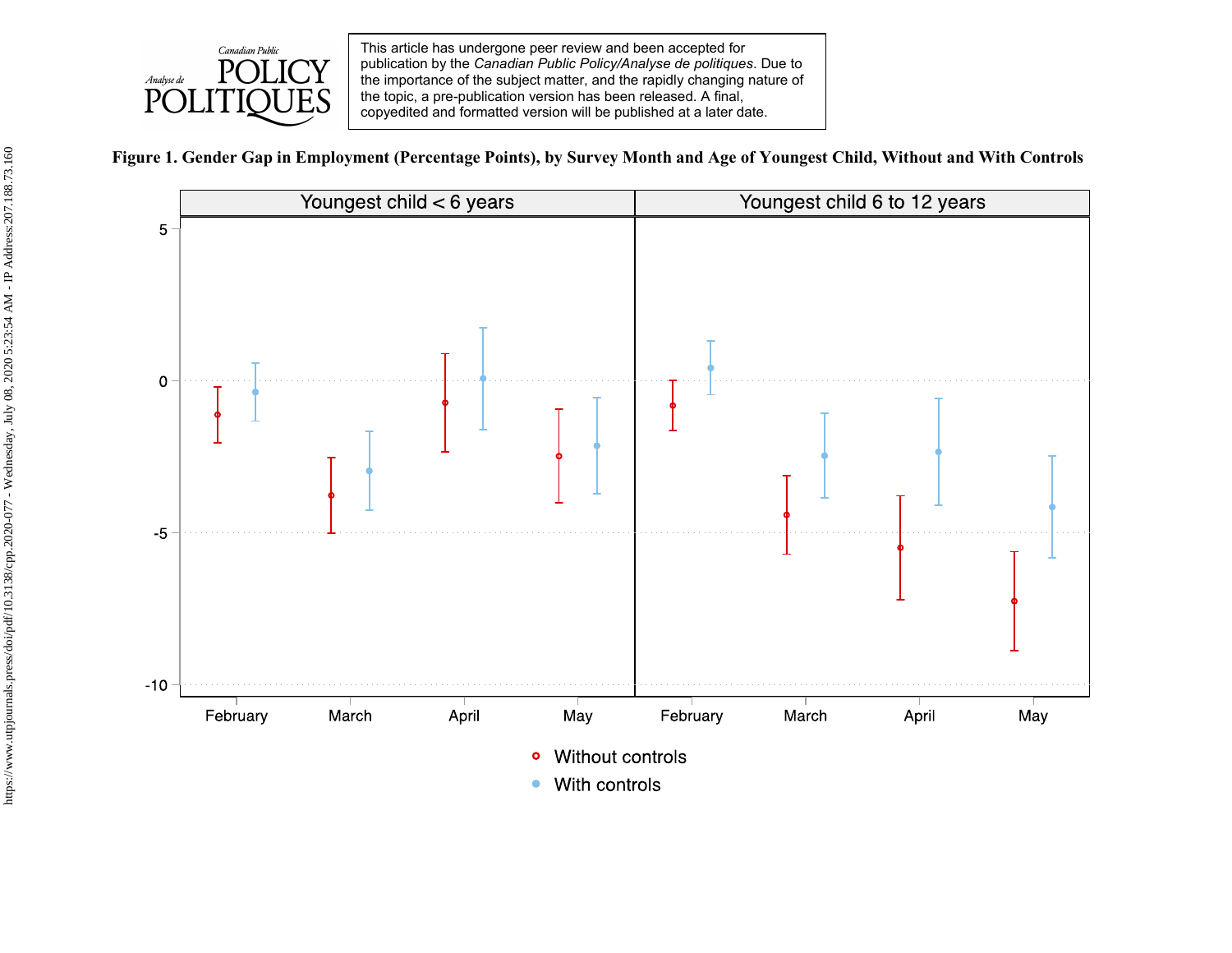

**Figure 1. Gender Gap in Employment (Percentage Points), by Survey Month and Age of Youngest Child, Without and With Controls**

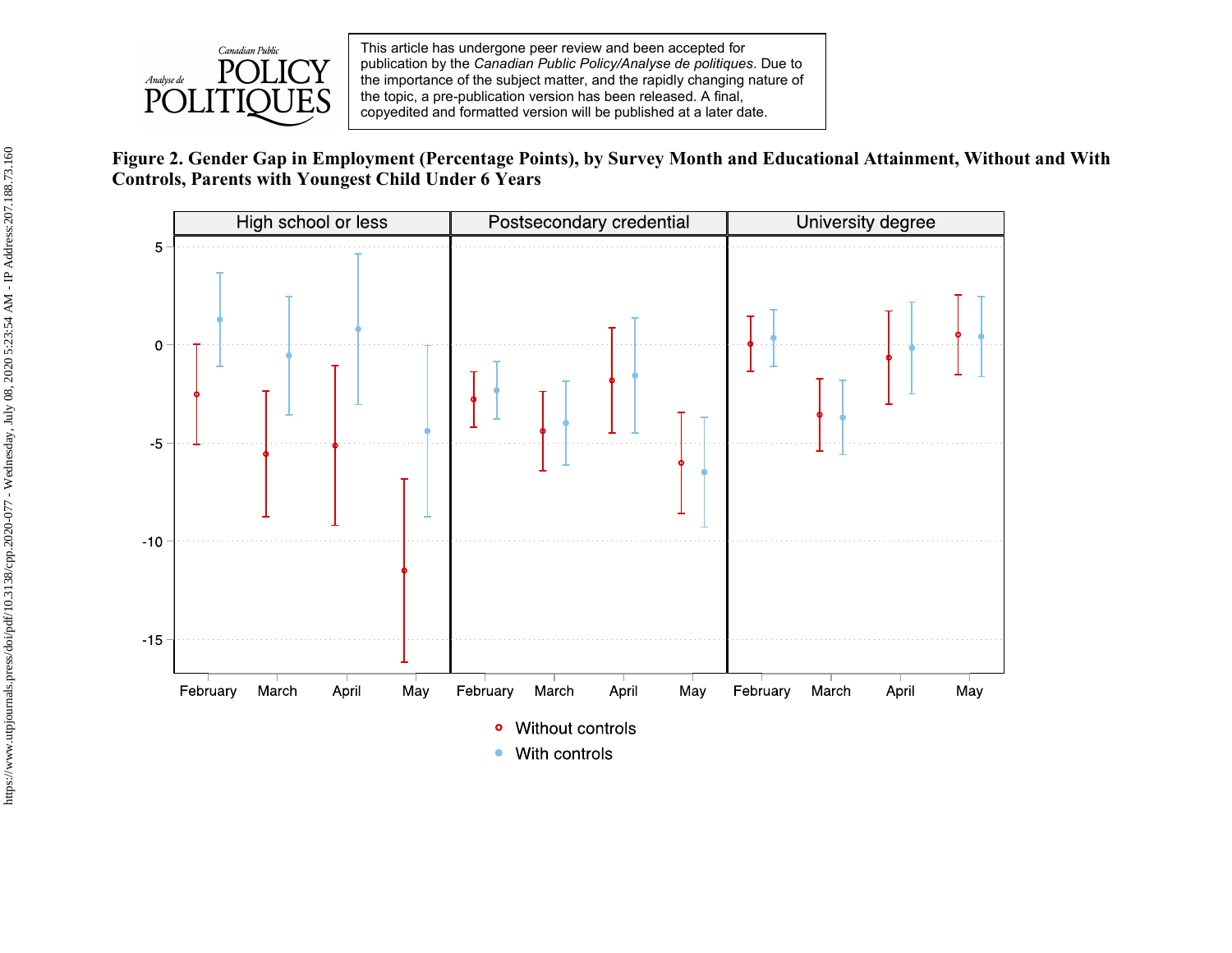

# **Figure 2. Gender Gap in Employment (Percentage Points), by Survey Month and Educational Attainment, Without and With Controls, Parents with Youngest Child Under 6 Years**

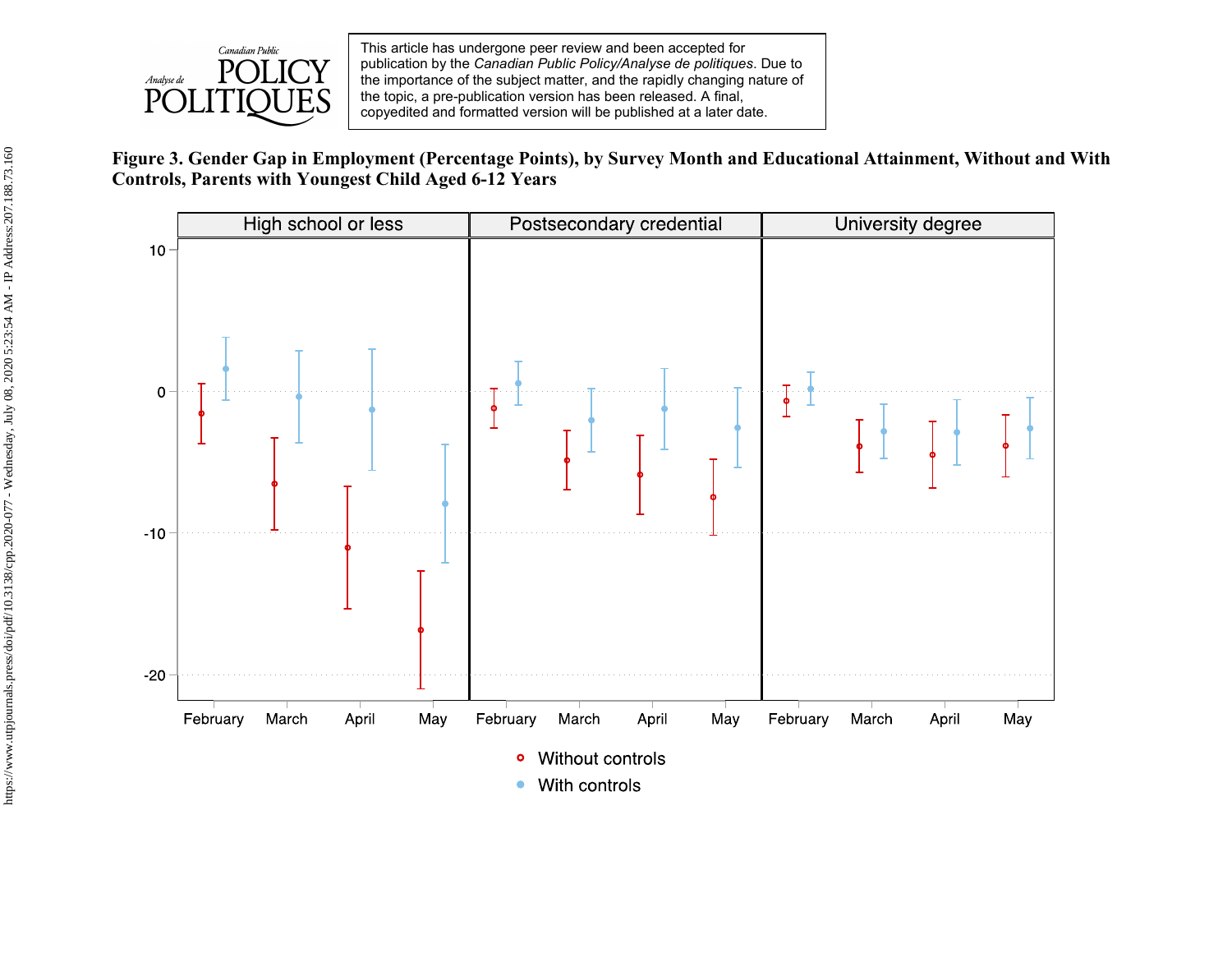

**Figure 3. Gender Gap in Employment (Percentage Points), by Survey Month and Educational Attainment, Without and With Controls, Parents with Youngest Child Aged 6-12 Years**

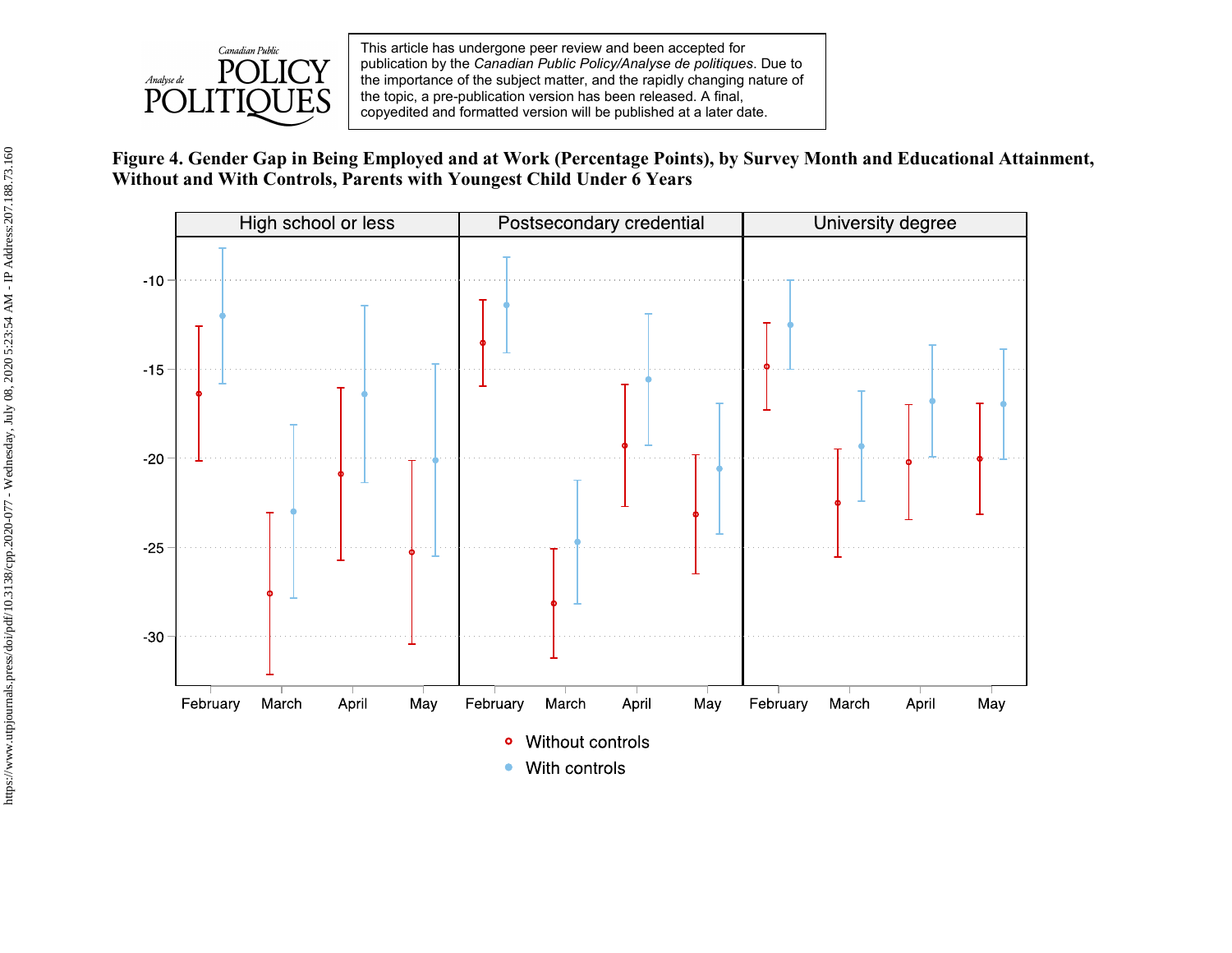

**Figure 4. Gender Gap in Being Employed and at Work (Percentage Points), by Survey Month and Educational Attainment, Without and With Controls, Parents with Youngest Child Under 6 Years**

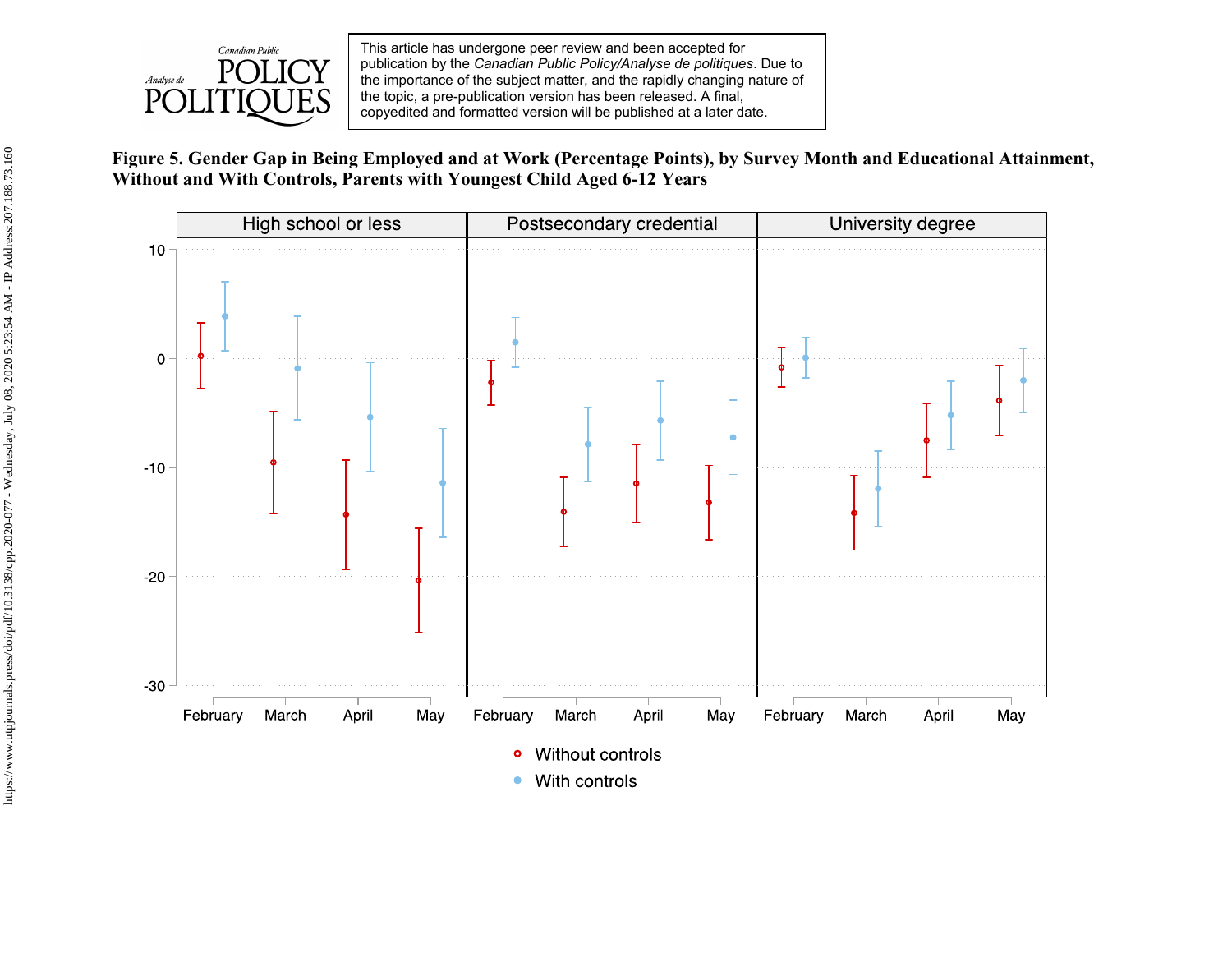

**Figure 5. Gender Gap in Being Employed and at Work (Percentage Points), by Survey Month and Educational Attainment, Without and With Controls, Parents with Youngest Child Aged 6-12 Years**

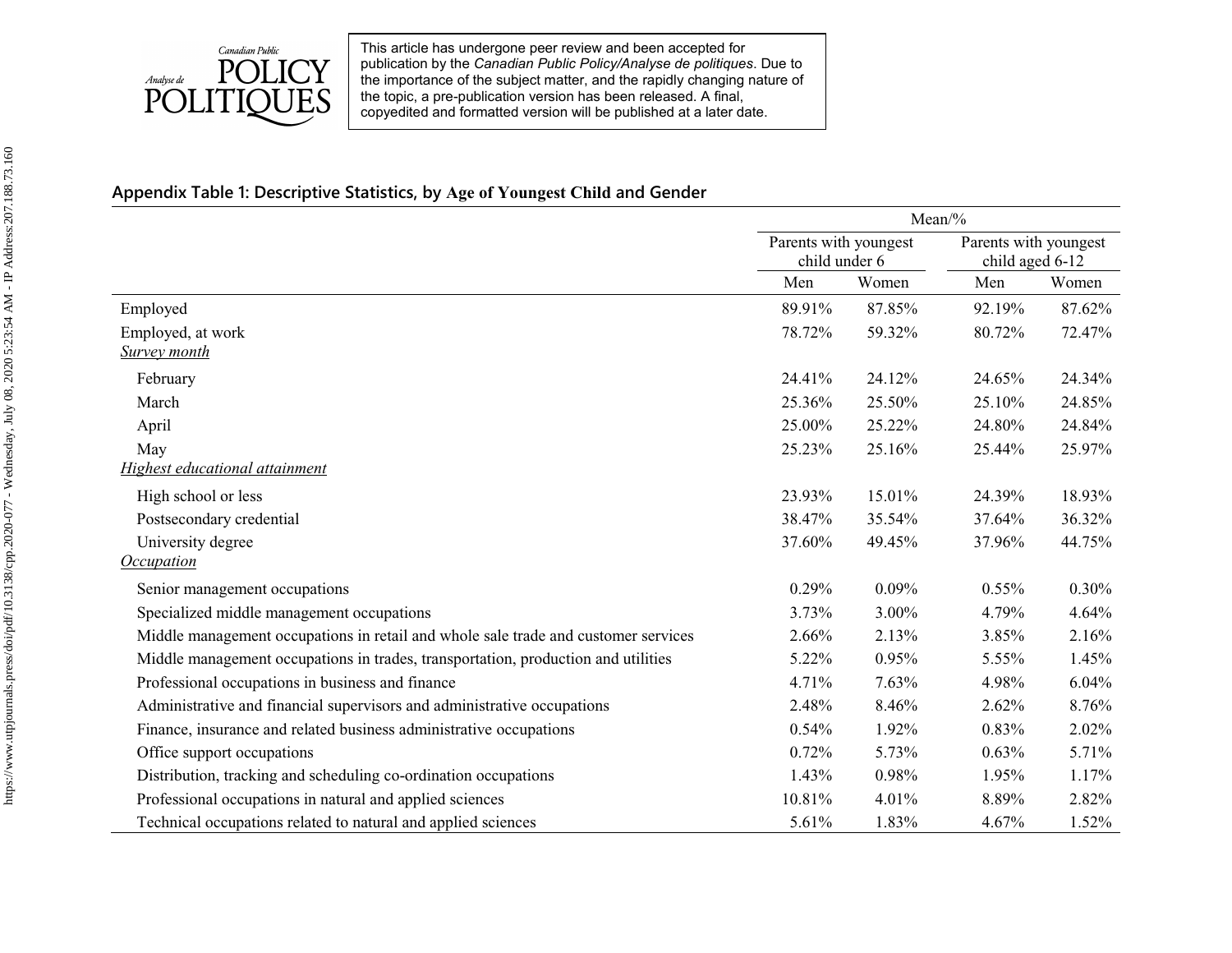

# **Appendix Table 1: Descriptive Statistics, by Age of Youngest Child and Gender**

|                                                                                    | Mean/%                                 |          |                                          |        |
|------------------------------------------------------------------------------------|----------------------------------------|----------|------------------------------------------|--------|
|                                                                                    | Parents with youngest<br>child under 6 |          | Parents with youngest<br>child aged 6-12 |        |
|                                                                                    | Men                                    | Women    | Men                                      | Women  |
| Employed                                                                           | 89.91%                                 | 87.85%   | 92.19%                                   | 87.62% |
| Employed, at work                                                                  | 78.72%                                 | 59.32%   | 80.72%                                   | 72.47% |
| <b>Survey month</b>                                                                |                                        |          |                                          |        |
| February                                                                           | 24.41%                                 | 24.12%   | 24.65%                                   | 24.34% |
| March                                                                              | 25.36%                                 | 25.50%   | 25.10%                                   | 24.85% |
| April                                                                              | 25.00%                                 | 25.22%   | 24.80%                                   | 24.84% |
| May                                                                                | 25.23%                                 | 25.16%   | 25.44%                                   | 25.97% |
| Highest educational attainment                                                     |                                        |          |                                          |        |
| High school or less                                                                | 23.93%                                 | 15.01%   | 24.39%                                   | 18.93% |
| Postsecondary credential                                                           | 38.47%                                 | 35.54%   | 37.64%                                   | 36.32% |
| University degree                                                                  | 37.60%                                 | 49.45%   | 37.96%                                   | 44.75% |
| <b>Occupation</b>                                                                  |                                        |          |                                          |        |
| Senior management occupations                                                      | 0.29%                                  | $0.09\%$ | 0.55%                                    | 0.30%  |
| Specialized middle management occupations                                          | 3.73%                                  | 3.00%    | 4.79%                                    | 4.64%  |
| Middle management occupations in retail and whole sale trade and customer services | 2.66%                                  | 2.13%    | 3.85%                                    | 2.16%  |
| Middle management occupations in trades, transportation, production and utilities  | 5.22%                                  | 0.95%    | 5.55%                                    | 1.45%  |
| Professional occupations in business and finance                                   | 4.71%                                  | 7.63%    | 4.98%                                    | 6.04%  |
| Administrative and financial supervisors and administrative occupations            | 2.48%                                  | 8.46%    | 2.62%                                    | 8.76%  |
| Finance, insurance and related business administrative occupations                 | 0.54%                                  | 1.92%    | 0.83%                                    | 2.02%  |
| Office support occupations                                                         | 0.72%                                  | 5.73%    | 0.63%                                    | 5.71%  |
| Distribution, tracking and scheduling co-ordination occupations                    | 1.43%                                  | 0.98%    | 1.95%                                    | 1.17%  |
| Professional occupations in natural and applied sciences                           | 10.81%                                 | 4.01%    | 8.89%                                    | 2.82%  |
| Technical occupations related to natural and applied sciences                      | 5.61%                                  | 1.83%    | 4.67%                                    | 1.52%  |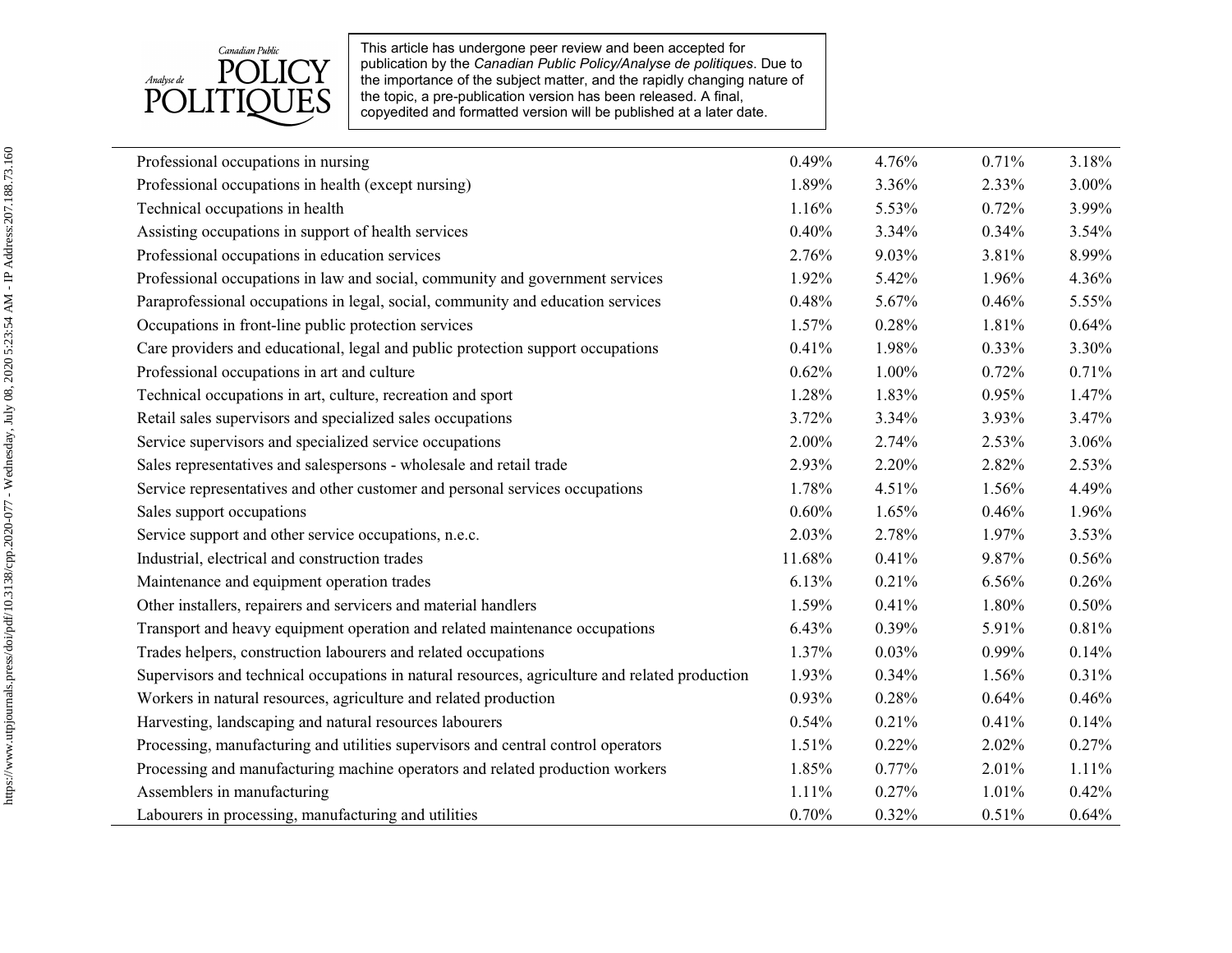

| Professional occupations in nursing                                                            | 0.49%    | 4.76% | 0.71% | 3.18% |
|------------------------------------------------------------------------------------------------|----------|-------|-------|-------|
| Professional occupations in health (except nursing)                                            | 1.89%    | 3.36% | 2.33% | 3.00% |
| Technical occupations in health                                                                | 1.16%    | 5.53% | 0.72% | 3.99% |
| Assisting occupations in support of health services                                            | 0.40%    | 3.34% | 0.34% | 3.54% |
| Professional occupations in education services                                                 | 2.76%    | 9.03% | 3.81% | 8.99% |
| Professional occupations in law and social, community and government services                  | 1.92%    | 5.42% | 1.96% | 4.36% |
| Paraprofessional occupations in legal, social, community and education services                | 0.48%    | 5.67% | 0.46% | 5.55% |
| Occupations in front-line public protection services                                           | 1.57%    | 0.28% | 1.81% | 0.64% |
| Care providers and educational, legal and public protection support occupations                | 0.41%    | 1.98% | 0.33% | 3.30% |
| Professional occupations in art and culture                                                    | 0.62%    | 1.00% | 0.72% | 0.71% |
| Technical occupations in art, culture, recreation and sport                                    | 1.28%    | 1.83% | 0.95% | 1.47% |
| Retail sales supervisors and specialized sales occupations                                     | 3.72%    | 3.34% | 3.93% | 3.47% |
| Service supervisors and specialized service occupations                                        | 2.00%    | 2.74% | 2.53% | 3.06% |
| Sales representatives and salespersons - wholesale and retail trade                            | 2.93%    | 2.20% | 2.82% | 2.53% |
| Service representatives and other customer and personal services occupations                   | 1.78%    | 4.51% | 1.56% | 4.49% |
| Sales support occupations                                                                      | 0.60%    | 1.65% | 0.46% | 1.96% |
| Service support and other service occupations, n.e.c.                                          | 2.03%    | 2.78% | 1.97% | 3.53% |
| Industrial, electrical and construction trades                                                 | 11.68%   | 0.41% | 9.87% | 0.56% |
| Maintenance and equipment operation trades                                                     | 6.13%    | 0.21% | 6.56% | 0.26% |
| Other installers, repairers and servicers and material handlers                                | 1.59%    | 0.41% | 1.80% | 0.50% |
| Transport and heavy equipment operation and related maintenance occupations                    | 6.43%    | 0.39% | 5.91% | 0.81% |
| Trades helpers, construction labourers and related occupations                                 | 1.37%    | 0.03% | 0.99% | 0.14% |
| Supervisors and technical occupations in natural resources, agriculture and related production | 1.93%    | 0.34% | 1.56% | 0.31% |
| Workers in natural resources, agriculture and related production                               | $0.93\%$ | 0.28% | 0.64% | 0.46% |
| Harvesting, landscaping and natural resources labourers                                        | 0.54%    | 0.21% | 0.41% | 0.14% |
| Processing, manufacturing and utilities supervisors and central control operators              | 1.51%    | 0.22% | 2.02% | 0.27% |
| Processing and manufacturing machine operators and related production workers                  | 1.85%    | 0.77% | 2.01% | 1.11% |
| Assemblers in manufacturing                                                                    | 1.11%    | 0.27% | 1.01% | 0.42% |
| Labourers in processing, manufacturing and utilities                                           | 0.70%    | 0.32% | 0.51% | 0.64% |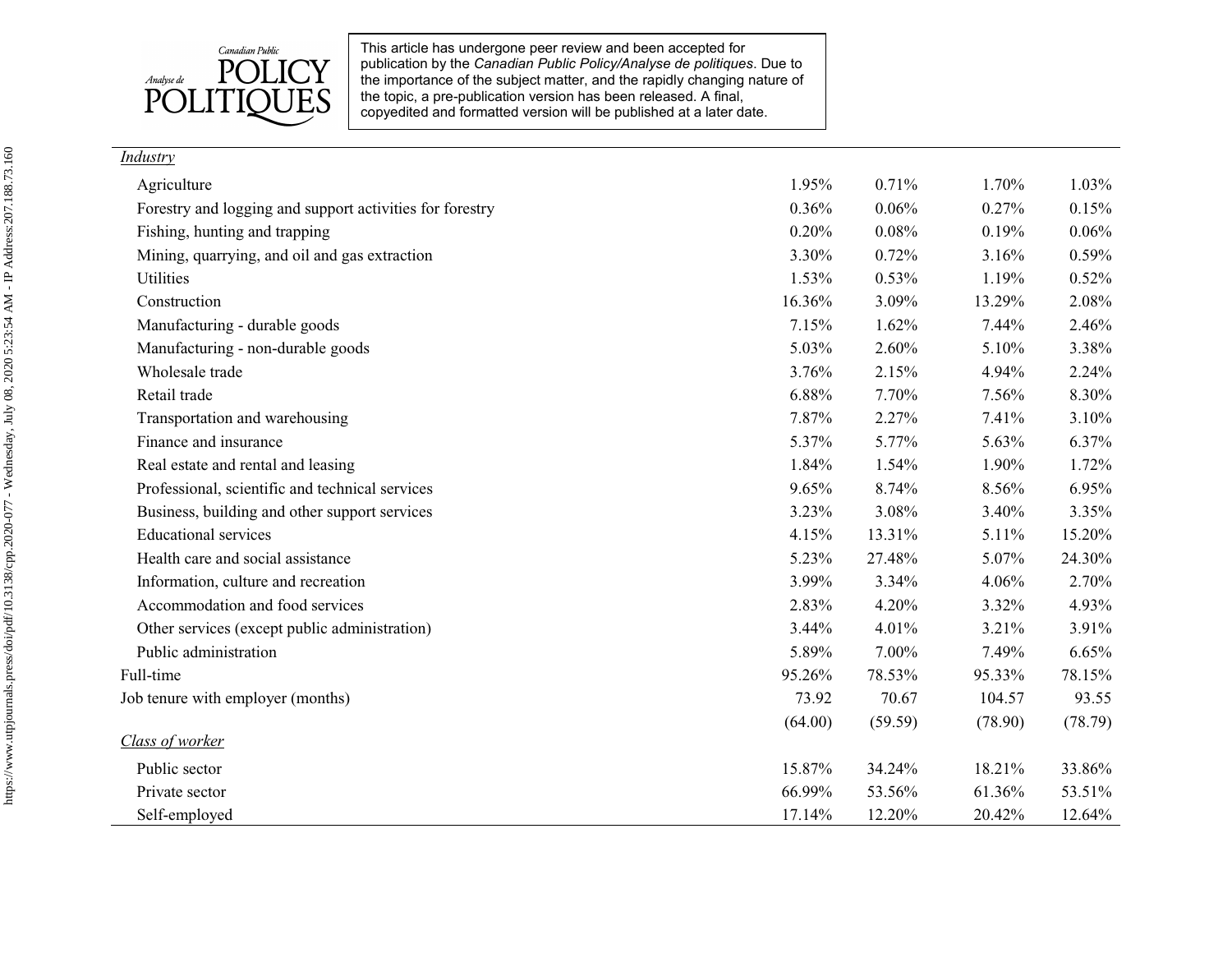

| Industry |  |
|----------|--|
|          |  |

| Agriculture                                              | 1.95%   | 0.71%   | 1.70%   | 1.03%   |
|----------------------------------------------------------|---------|---------|---------|---------|
| Forestry and logging and support activities for forestry | 0.36%   | 0.06%   | 0.27%   | 0.15%   |
| Fishing, hunting and trapping                            | 0.20%   | 0.08%   | 0.19%   | 0.06%   |
| Mining, quarrying, and oil and gas extraction            | 3.30%   | 0.72%   | 3.16%   | 0.59%   |
| Utilities                                                | 1.53%   | 0.53%   | 1.19%   | 0.52%   |
| Construction                                             | 16.36%  | 3.09%   | 13.29%  | 2.08%   |
| Manufacturing - durable goods                            | 7.15%   | 1.62%   | 7.44%   | 2.46%   |
| Manufacturing - non-durable goods                        | 5.03%   | 2.60%   | 5.10%   | 3.38%   |
| Wholesale trade                                          | 3.76%   | 2.15%   | 4.94%   | 2.24%   |
| Retail trade                                             | 6.88%   | 7.70%   | 7.56%   | 8.30%   |
| Transportation and warehousing                           | 7.87%   | 2.27%   | 7.41%   | 3.10%   |
| Finance and insurance                                    | 5.37%   | 5.77%   | 5.63%   | 6.37%   |
| Real estate and rental and leasing                       | 1.84%   | 1.54%   | 1.90%   | 1.72%   |
| Professional, scientific and technical services          | 9.65%   | 8.74%   | 8.56%   | 6.95%   |
| Business, building and other support services            | 3.23%   | 3.08%   | 3.40%   | 3.35%   |
| <b>Educational services</b>                              | 4.15%   | 13.31%  | 5.11%   | 15.20%  |
| Health care and social assistance                        | 5.23%   | 27.48%  | 5.07%   | 24.30%  |
| Information, culture and recreation                      | 3.99%   | 3.34%   | 4.06%   | 2.70%   |
| Accommodation and food services                          | 2.83%   | 4.20%   | 3.32%   | 4.93%   |
| Other services (except public administration)            | 3.44%   | 4.01%   | 3.21%   | 3.91%   |
| Public administration                                    | 5.89%   | 7.00%   | 7.49%   | 6.65%   |
| Full-time                                                | 95.26%  | 78.53%  | 95.33%  | 78.15%  |
| Job tenure with employer (months)                        | 73.92   | 70.67   | 104.57  | 93.55   |
|                                                          | (64.00) | (59.59) | (78.90) | (78.79) |
| Class of worker                                          |         |         |         |         |
| Public sector                                            | 15.87%  | 34.24%  | 18.21%  | 33.86%  |
| Private sector                                           | 66.99%  | 53.56%  | 61.36%  | 53.51%  |
| Self-employed                                            | 17.14%  | 12.20%  | 20.42%  | 12.64%  |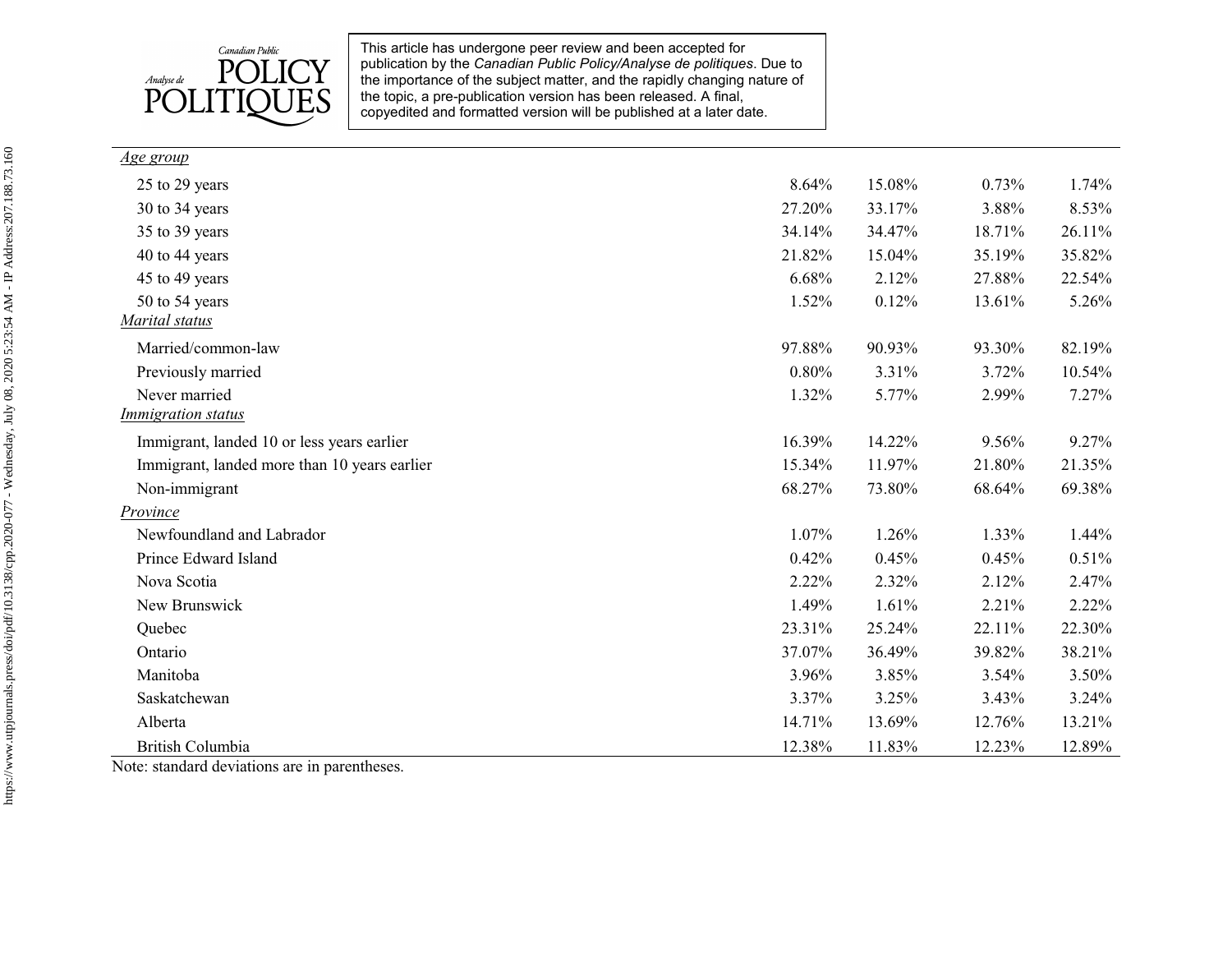

| <u>Age group</u>                             |        |        |        |        |
|----------------------------------------------|--------|--------|--------|--------|
| 25 to 29 years                               | 8.64%  | 15.08% | 0.73%  | 1.74%  |
| 30 to 34 years                               | 27.20% | 33.17% | 3.88%  | 8.53%  |
| 35 to 39 years                               | 34.14% | 34.47% | 18.71% | 26.11% |
| 40 to 44 years                               | 21.82% | 15.04% | 35.19% | 35.82% |
| 45 to 49 years                               | 6.68%  | 2.12%  | 27.88% | 22.54% |
| 50 to 54 years                               | 1.52%  | 0.12%  | 13.61% | 5.26%  |
| Marital status                               |        |        |        |        |
| Married/common-law                           | 97.88% | 90.93% | 93.30% | 82.19% |
| Previously married                           | 0.80%  | 3.31%  | 3.72%  | 10.54% |
| Never married                                | 1.32%  | 5.77%  | 2.99%  | 7.27%  |
| <b>Immigration</b> status                    |        |        |        |        |
| Immigrant, landed 10 or less years earlier   | 16.39% | 14.22% | 9.56%  | 9.27%  |
| Immigrant, landed more than 10 years earlier | 15.34% | 11.97% | 21.80% | 21.35% |
| Non-immigrant                                | 68.27% | 73.80% | 68.64% | 69.38% |
| Province                                     |        |        |        |        |
| Newfoundland and Labrador                    | 1.07%  | 1.26%  | 1.33%  | 1.44%  |
| Prince Edward Island                         | 0.42%  | 0.45%  | 0.45%  | 0.51%  |
| Nova Scotia                                  | 2.22%  | 2.32%  | 2.12%  | 2.47%  |
| New Brunswick                                | 1.49%  | 1.61%  | 2.21%  | 2.22%  |
| Quebec                                       | 23.31% | 25.24% | 22.11% | 22.30% |
| Ontario                                      | 37.07% | 36.49% | 39.82% | 38.21% |
| Manitoba                                     | 3.96%  | 3.85%  | 3.54%  | 3.50%  |
| Saskatchewan                                 | 3.37%  | 3.25%  | 3.43%  | 3.24%  |
| Alberta                                      | 14.71% | 13.69% | 12.76% | 13.21% |
| British Columbia                             | 12.38% | 11.83% | 12.23% | 12.89% |

Note: standard deviations are in parentheses.